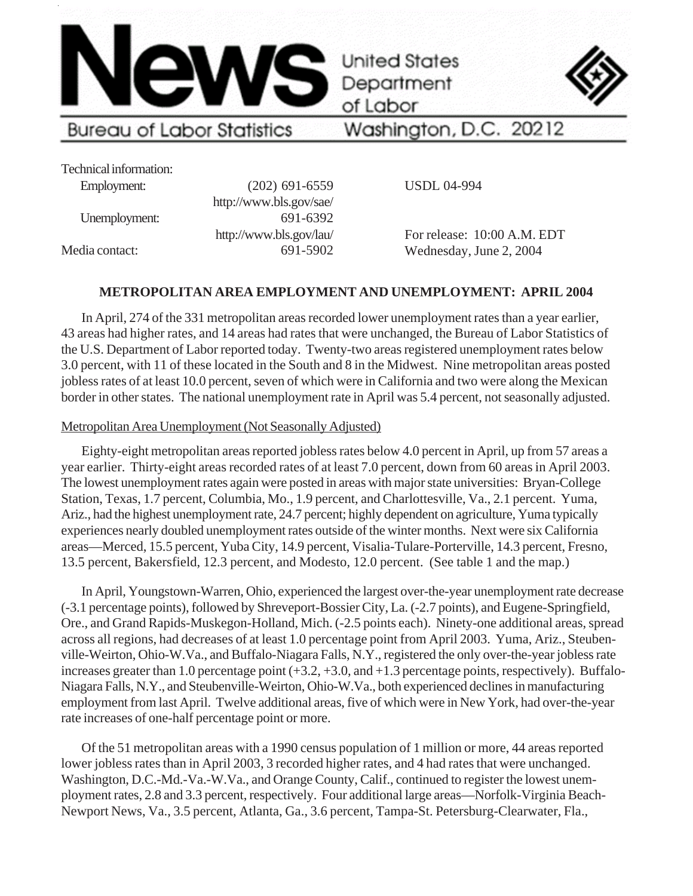

of Labor



Technical information:

Employment: (202) 691-6559 http://www.bls.gov/sae/ Unemployment: 691-6392 http://www.bls.gov/lau/ Media contact: 691-5902

Washington, D.C. 20212

USDL 04-994

For release: 10:00 A.M. EDT Wednesday, June 2, 2004

## **METROPOLITAN AREA EMPLOYMENT AND UNEMPLOYMENT: APRIL 2004**

In April, 274 of the 331 metropolitan areas recorded lower unemployment rates than a year earlier, 43 areas had higher rates, and 14 areas had rates that were unchanged, the Bureau of Labor Statistics of the U.S. Department of Labor reported today. Twenty-two areas registered unemployment rates below 3.0 percent, with 11 of these located in the South and 8 in the Midwest. Nine metropolitan areas posted jobless rates of at least 10.0 percent, seven of which were in California and two were along the Mexican border in other states. The national unemployment rate in April was 5.4 percent, not seasonally adjusted.

### Metropolitan Area Unemployment (Not Seasonally Adjusted)

Eighty-eight metropolitan areas reported jobless rates below 4.0 percent in April, up from 57 areas a year earlier. Thirty-eight areas recorded rates of at least 7.0 percent, down from 60 areas in April 2003. The lowest unemployment rates again were posted in areas with major state universities: Bryan-College Station, Texas, 1.7 percent, Columbia, Mo., 1.9 percent, and Charlottesville, Va., 2.1 percent. Yuma, Ariz., had the highest unemployment rate, 24.7 percent; highly dependent on agriculture, Yuma typically experiences nearly doubled unemployment rates outside of the winter months. Next were six California areas—Merced, 15.5 percent, Yuba City, 14.9 percent, Visalia-Tulare-Porterville, 14.3 percent, Fresno, 13.5 percent, Bakersfield, 12.3 percent, and Modesto, 12.0 percent. (See table 1 and the map.)

In April, Youngstown-Warren, Ohio, experienced the largest over-the-year unemployment rate decrease (-3.1 percentage points), followed by Shreveport-Bossier City, La. (-2.7 points), and Eugene-Springfield, Ore., and Grand Rapids-Muskegon-Holland, Mich. (-2.5 points each). Ninety-one additional areas, spread across all regions, had decreases of at least 1.0 percentage point from April 2003. Yuma, Ariz., Steubenville-Weirton, Ohio-W.Va., and Buffalo-Niagara Falls, N.Y., registered the only over-the-year jobless rate increases greater than 1.0 percentage point (+3.2, +3.0, and +1.3 percentage points, respectively). Buffalo-Niagara Falls, N.Y., and Steubenville-Weirton, Ohio-W.Va., both experienced declines in manufacturing employment from last April. Twelve additional areas, five of which were in New York, had over-the-year rate increases of one-half percentage point or more.

Of the 51 metropolitan areas with a 1990 census population of 1 million or more, 44 areas reported lower jobless rates than in April 2003, 3 recorded higher rates, and 4 had rates that were unchanged. Washington, D.C.-Md.-Va.-W.Va., and Orange County, Calif., continued to register the lowest unemployment rates, 2.8 and 3.3 percent, respectively. Four additional large areas—Norfolk-Virginia Beach-Newport News, Va., 3.5 percent, Atlanta, Ga., 3.6 percent, Tampa-St. Petersburg-Clearwater, Fla.,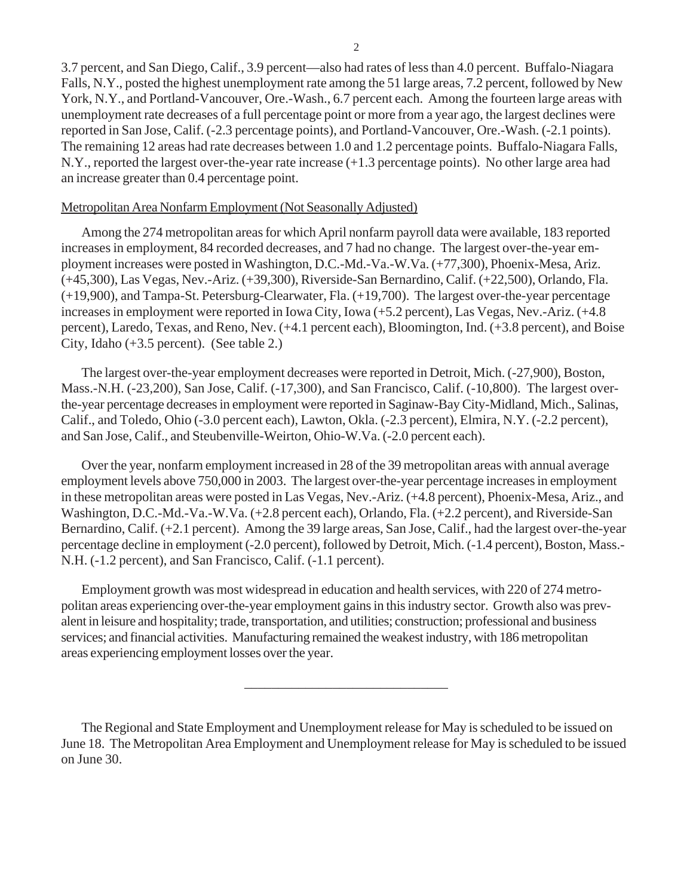3.7 percent, and San Diego, Calif., 3.9 percent—also had rates of less than 4.0 percent. Buffalo-Niagara Falls, N.Y., posted the highest unemployment rate among the 51 large areas, 7.2 percent, followed by New York, N.Y., and Portland-Vancouver, Ore.-Wash., 6.7 percent each. Among the fourteen large areas with unemployment rate decreases of a full percentage point or more from a year ago, the largest declines were reported in San Jose, Calif. (-2.3 percentage points), and Portland-Vancouver, Ore.-Wash. (-2.1 points). The remaining 12 areas had rate decreases between 1.0 and 1.2 percentage points. Buffalo-Niagara Falls, N.Y., reported the largest over-the-year rate increase (+1.3 percentage points). No other large area had an increase greater than 0.4 percentage point.

### Metropolitan Area Nonfarm Employment (Not Seasonally Adjusted)

Among the 274 metropolitan areas for which April nonfarm payroll data were available, 183 reported increases in employment, 84 recorded decreases, and 7 had no change. The largest over-the-year employment increases were posted in Washington, D.C.-Md.-Va.-W.Va. (+77,300), Phoenix-Mesa, Ariz. (+45,300), Las Vegas, Nev.-Ariz. (+39,300), Riverside-San Bernardino, Calif. (+22,500), Orlando, Fla. (+19,900), and Tampa-St. Petersburg-Clearwater, Fla. (+19,700). The largest over-the-year percentage increases in employment were reported in Iowa City, Iowa (+5.2 percent), Las Vegas, Nev.-Ariz. (+4.8 percent), Laredo, Texas, and Reno, Nev. (+4.1 percent each), Bloomington, Ind. (+3.8 percent), and Boise City, Idaho (+3.5 percent). (See table 2.)

The largest over-the-year employment decreases were reported in Detroit, Mich. (-27,900), Boston, Mass.-N.H. (-23,200), San Jose, Calif. (-17,300), and San Francisco, Calif. (-10,800). The largest overthe-year percentage decreases in employment were reported in Saginaw-Bay City-Midland, Mich., Salinas, Calif., and Toledo, Ohio (-3.0 percent each), Lawton, Okla. (-2.3 percent), Elmira, N.Y. (-2.2 percent), and San Jose, Calif., and Steubenville-Weirton, Ohio-W.Va. (-2.0 percent each).

Over the year, nonfarm employment increased in 28 of the 39 metropolitan areas with annual average employment levels above 750,000 in 2003. The largest over-the-year percentage increases in employment in these metropolitan areas were posted in Las Vegas, Nev.-Ariz. (+4.8 percent), Phoenix-Mesa, Ariz., and Washington, D.C.-Md.-Va.-W.Va. (+2.8 percent each), Orlando, Fla. (+2.2 percent), and Riverside-San Bernardino, Calif. (+2.1 percent). Among the 39 large areas, San Jose, Calif., had the largest over-the-year percentage decline in employment (-2.0 percent), followed by Detroit, Mich. (-1.4 percent), Boston, Mass.- N.H. (-1.2 percent), and San Francisco, Calif. (-1.1 percent).

Employment growth was most widespread in education and health services, with 220 of 274 metropolitan areas experiencing over-the-year employment gains in this industry sector. Growth also was prevalent in leisure and hospitality; trade, transportation, and utilities; construction; professional and business services; and financial activities. Manufacturing remained the weakest industry, with 186 metropolitan areas experiencing employment losses over the year.

\_\_\_\_\_\_\_\_\_\_\_\_\_\_\_\_\_\_\_\_\_\_\_\_\_\_\_\_\_\_

The Regional and State Employment and Unemployment release for May is scheduled to be issued on June 18. The Metropolitan Area Employment and Unemployment release for May is scheduled to be issued on June 30.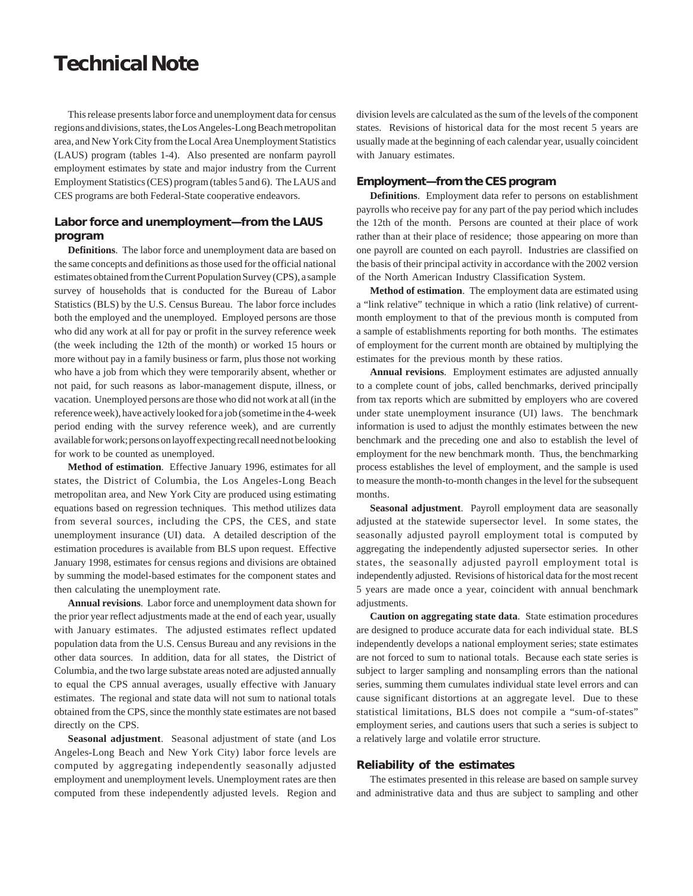## **Technical Note**

This release presents labor force and unemployment data for census regions and divisions, states, the Los Angeles-Long Beach metropolitan area, and New York City from the Local Area Unemployment Statistics (LAUS) program (tables 1-4). Also presented are nonfarm payroll employment estimates by state and major industry from the Current Employment Statistics (CES) program (tables 5 and 6). The LAUS and CES programs are both Federal-State cooperative endeavors.

#### **Labor force and unemployment—from the LAUS program**

**Definitions**. The labor force and unemployment data are based on the same concepts and definitions as those used for the official national estimates obtained from the Current Population Survey (CPS), a sample survey of households that is conducted for the Bureau of Labor Statistics (BLS) by the U.S. Census Bureau. The labor force includes both the employed and the unemployed. Employed persons are those who did any work at all for pay or profit in the survey reference week (the week including the 12th of the month) or worked 15 hours or more without pay in a family business or farm, plus those not working who have a job from which they were temporarily absent, whether or not paid, for such reasons as labor-management dispute, illness, or vacation. Unemployed persons are those who did not work at all (in the reference week), have actively looked for a job (sometime in the 4-week period ending with the survey reference week), and are currently available for work; persons on layoff expecting recall need not be looking for work to be counted as unemployed.

**Method of estimation**. Effective January 1996, estimates for all states, the District of Columbia, the Los Angeles-Long Beach metropolitan area, and New York City are produced using estimating equations based on regression techniques. This method utilizes data from several sources, including the CPS, the CES, and state unemployment insurance (UI) data. A detailed description of the estimation procedures is available from BLS upon request. Effective January 1998, estimates for census regions and divisions are obtained by summing the model-based estimates for the component states and then calculating the unemployment rate.

**Annual revisions**. Labor force and unemployment data shown for the prior year reflect adjustments made at the end of each year, usually with January estimates. The adjusted estimates reflect updated population data from the U.S. Census Bureau and any revisions in the other data sources. In addition, data for all states, the District of Columbia, and the two large substate areas noted are adjusted annually to equal the CPS annual averages, usually effective with January estimates. The regional and state data will not sum to national totals obtained from the CPS, since the monthly state estimates are not based directly on the CPS.

**Seasonal adjustment**. Seasonal adjustment of state (and Los Angeles-Long Beach and New York City) labor force levels are computed by aggregating independently seasonally adjusted employment and unemployment levels. Unemployment rates are then computed from these independently adjusted levels. Region and division levels are calculated as the sum of the levels of the component states. Revisions of historical data for the most recent 5 years are usually made at the beginning of each calendar year, usually coincident with January estimates.

#### **Employment—from the CES program**

**Definitions**. Employment data refer to persons on establishment payrolls who receive pay for any part of the pay period which includes the 12th of the month. Persons are counted at their place of work rather than at their place of residence; those appearing on more than one payroll are counted on each payroll. Industries are classified on the basis of their principal activity in accordance with the 2002 version of the North American Industry Classification System.

**Method of estimation**. The employment data are estimated using a "link relative" technique in which a ratio (link relative) of currentmonth employment to that of the previous month is computed from a sample of establishments reporting for both months. The estimates of employment for the current month are obtained by multiplying the estimates for the previous month by these ratios.

**Annual revisions**. Employment estimates are adjusted annually to a complete count of jobs, called benchmarks, derived principally from tax reports which are submitted by employers who are covered under state unemployment insurance (UI) laws. The benchmark information is used to adjust the monthly estimates between the new benchmark and the preceding one and also to establish the level of employment for the new benchmark month. Thus, the benchmarking process establishes the level of employment, and the sample is used to measure the month-to-month changes in the level for the subsequent months.

**Seasonal adjustment**. Payroll employment data are seasonally adjusted at the statewide supersector level. In some states, the seasonally adjusted payroll employment total is computed by aggregating the independently adjusted supersector series. In other states, the seasonally adjusted payroll employment total is independently adjusted. Revisions of historical data for the most recent 5 years are made once a year, coincident with annual benchmark adjustments.

**Caution on aggregating state data**. State estimation procedures are designed to produce accurate data for each individual state. BLS independently develops a national employment series; state estimates are not forced to sum to national totals. Because each state series is subject to larger sampling and nonsampling errors than the national series, summing them cumulates individual state level errors and can cause significant distortions at an aggregate level. Due to these statistical limitations, BLS does not compile a "sum-of-states" employment series, and cautions users that such a series is subject to a relatively large and volatile error structure.

#### **Reliability of the estimates**

The estimates presented in this release are based on sample survey and administrative data and thus are subject to sampling and other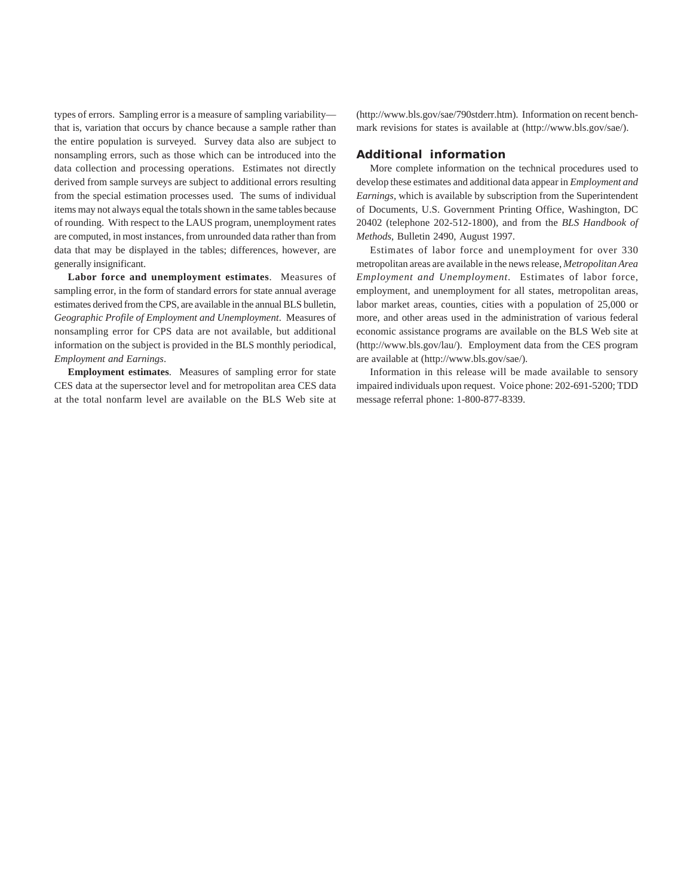types of errors. Sampling error is a measure of sampling variability that is, variation that occurs by chance because a sample rather than the entire population is surveyed. Survey data also are subject to nonsampling errors, such as those which can be introduced into the data collection and processing operations. Estimates not directly derived from sample surveys are subject to additional errors resulting from the special estimation processes used. The sums of individual items may not always equal the totals shown in the same tables because of rounding. With respect to the LAUS program, unemployment rates are computed, in most instances, from unrounded data rather than from data that may be displayed in the tables; differences, however, are generally insignificant.

**Labor force and unemployment estimates**. Measures of sampling error, in the form of standard errors for state annual average estimates derived from the CPS, are available in the annual BLS bulletin, *Geographic Profile of Employment and Unemployment*. Measures of nonsampling error for CPS data are not available, but additional information on the subject is provided in the BLS monthly periodical, *Employment and Earnings*.

**Employment estimates**. Measures of sampling error for state CES data at the supersector level and for metropolitan area CES data at the total nonfarm level are available on the BLS Web site at (http://www.bls.gov/sae/790stderr.htm). Information on recent benchmark revisions for states is available at (http://www.bls.gov/sae/).

#### **Additional information**

More complete information on the technical procedures used to develop these estimates and additional data appear in *Employment and Earnings*, which is available by subscription from the Superintendent of Documents, U.S. Government Printing Office, Washington, DC 20402 (telephone 202-512-1800), and from the *BLS Handbook of Methods*, Bulletin 2490, August 1997.

Estimates of labor force and unemployment for over 330 metropolitan areas are available in the news release, *Metropolitan Area Employment and Unemployment*. Estimates of labor force, employment, and unemployment for all states, metropolitan areas, labor market areas, counties, cities with a population of 25,000 or more, and other areas used in the administration of various federal economic assistance programs are available on the BLS Web site at (http://www.bls.gov/lau/). Employment data from the CES program are available at (http://www.bls.gov/sae/).

Information in this release will be made available to sensory impaired individuals upon request. Voice phone: 202-691-5200; TDD message referral phone: 1-800-877-8339.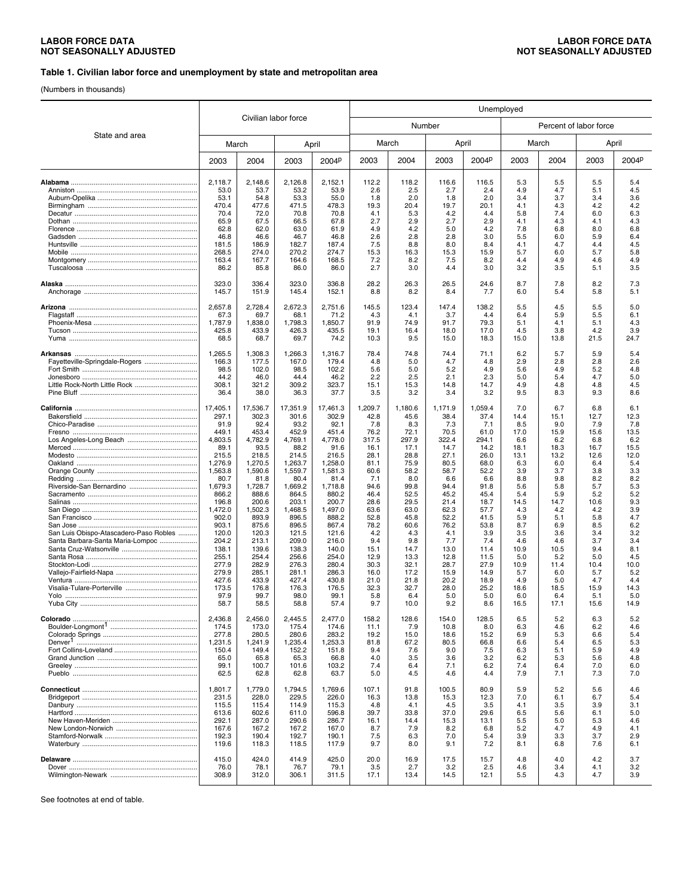#### **Table 1. Civilian labor force and unemployment by state and metropolitan area**

(Numbers in thousands)

|                                                                            |                  |                  |                      |                   | Unemployed    |              |               |              |             |             |                        |             |
|----------------------------------------------------------------------------|------------------|------------------|----------------------|-------------------|---------------|--------------|---------------|--------------|-------------|-------------|------------------------|-------------|
|                                                                            |                  |                  | Civilian labor force |                   |               | Number       |               |              |             |             | Percent of labor force |             |
| State and area                                                             | March            |                  |                      | April             |               | March        |               | April        |             | March       |                        | April       |
|                                                                            | 2003             | 2004             | 2003                 | 2004 <sup>p</sup> | 2003          | 2004         | 2003          | 2004P        | 2003        | 2004        | 2003                   | 2004P       |
|                                                                            | 2,118.7          | 2,148.6          | 2,126.8              | 2,152.1           | 112.2         | 118.2        | 116.6         | 116.5        | 5.3         | 5.5         | 5.5                    | 5.4         |
|                                                                            | 53.0             | 53.7             | 53.2                 | 53.9              | 2.6           | 2.5          | 2.7           | 2.4          | 4.9         | 4.7         | 5.1                    | 4.5         |
|                                                                            | 53.1             | 54.8             | 53.3                 | 55.0              | 1.8           | 2.0          | 1.8           | 2.0          | 3.4         | 3.7         | 3.4                    | 3.6         |
|                                                                            | 470.4            | 477.6            | 471.5                | 478.3             | 19.3          | 20.4         | 19.7          | 20.1         | 4.1         | 4.3         | 4.2                    | 4.2         |
|                                                                            | 70.4             | 72.0             | 70.8                 | 70.8              | 4.1           | 5.3          | 4.2           | 4.4          | 5.8         | 7.4         | 6.0                    | 6.3         |
|                                                                            | 65.9             | 67.5             | 66.5                 | 67.8              | 2.7           | 2.9          | 2.7           | 2.9          | 4.1         | 4.3         | 4.1                    | 4.3         |
|                                                                            | 62.8             | 62.0             | 63.0                 | 61.9              | 4.9           | 4.2          | 5.0           | 4.2          | 7.8         | 6.8         | 8.0                    | 6.8         |
|                                                                            | 46.8             | 46.6             | 46.7                 | 46.8              | 2.6           | 2.8          | 2.8           | 3.0          | 5.5         | 6.0         | 5.9                    | 6.4         |
|                                                                            | 181.5<br>268.5   | 186.9<br>274.0   | 182.7<br>270.2       | 187.4<br>274.7    | 7.5<br>15.3   | 8.8<br>16.3  | 8.0<br>15.3   | 8.4<br>15.9  | 4.1<br>5.7  | 4.7<br>6.0  | 4.4<br>5.7             | 4.5<br>5.8  |
|                                                                            | 163.4            | 167.7            | 164.6                | 168.5             | 7.2           | 8.2          | 7.5           | 8.2          | 4.4         | 4.9         | 4.6                    | 4.9         |
|                                                                            | 86.2             | 85.8             | 86.0                 | 86.0              | 2.7           | 3.0          | 4.4           | 3.0          | 3.2         | 3.5         | 5.1                    | 3.5         |
|                                                                            |                  |                  |                      |                   |               |              |               |              |             |             |                        |             |
|                                                                            | 323.0<br>145.7   | 336.4<br>151.9   | 323.0<br>145.4       | 336.8<br>152.1    | 28.2<br>8.8   | 26.3<br>8.2  | 26.5<br>8.4   | 24.6<br>7.7  | 8.7<br>6.0  | 7.8<br>5.4  | 8.2<br>5.8             | 7.3<br>5.1  |
|                                                                            |                  |                  |                      |                   |               |              |               |              |             |             |                        |             |
|                                                                            | 2,657.8          | 2,728.4          | 2,672.3              | 2,751.6           | 145.5         | 123.4        | 147.4         | 138.2        | 5.5         | 4.5         | 5.5                    | 5.0         |
|                                                                            | 67.3             | 69.7             | 68.1                 | 71.2              | 4.3           | 4.1          | 3.7           | 4.4          | 6.4         | 5.9         | 5.5                    | 6.1         |
|                                                                            | 1,787.9          | 1.838.0          | 1,798.3              | 1,850.7           | 91.9          | 74.9         | 91.7          | 79.3         | 5.1         | 4.1         | 5.1                    | 4.3         |
|                                                                            | 425.8            | 433.9            | 426.3                | 435.5             | 19.1          | 16.4         | 18.0          | 17.0         | 4.5         | 3.8         | 4.2                    | 3.9         |
|                                                                            | 68.5             | 68.7             | 69.7                 | 74.2              | 10.3          | 9.5          | 15.0          | 18.3         | 15.0        | 13.8        | 21.5                   | 24.7        |
|                                                                            | 1,265.5          | 1,308.3          | 1,266.3              | 1,316.7           | 78.4          | 74.8         | 74.4          | 71.1         | 6.2         | 5.7         | 5.9                    | 5.4         |
|                                                                            | 166.3            | 177.5            | 167.0                | 179.4             | 4.8           | 5.0          | 4.7           | 4.8          | 2.9         | 2.8         | 2.8                    | 2.6         |
|                                                                            | 98.5             | 102.0            | 98.5                 | 102.2             | 5.6           | 5.0          | 5.2           | 4.9          | 5.6         | 4.9         | 5.2                    | 4.8         |
| Little Rock-North Little Rock                                              | 44.2<br>308.1    | 46.0<br>321.2    | 44.4<br>309.2        | 46.2<br>323.7     | 2.2<br>15.1   | 2.5<br>15.3  | 2.1<br>14.8   | 2.3<br>14.7  | 5.0<br>4.9  | 5.4<br>4.8  | 4.7<br>4.8             | 5.0<br>4.5  |
|                                                                            | 36.4             | 38.0             | 36.3                 | 37.7              | 3.5           | 3.2          | 3.4           | 3.2          | 9.5         | 8.3         | 9.3                    | 8.6         |
|                                                                            |                  |                  |                      |                   |               |              |               |              |             |             |                        |             |
|                                                                            | 17,405.1         | 17,536.7         | 17,351.9             | 17,461.3          | 1,209.7       | 1,180.6      | 1,171.9       | 1,059.4      | 7.0         | 6.7         | 6.8                    | 6.1         |
|                                                                            | 297.1<br>91.9    | 302.3<br>92.4    | 301.6<br>93.2        | 302.9<br>92.1     | 42.8<br>7.8   | 45.6<br>8.3  | 38.4<br>7.3   | 37.4<br>7.1  | 14.4<br>8.5 | 15.1<br>9.0 | 12.7<br>7.9            | 12.3<br>7.8 |
|                                                                            | 449.1            | 453.4            | 452.9                | 451.4             | 76.2          | 72.1         | 70.5          | 61.0         | 17.0        | 15.9        | 15.6                   | 13.5        |
|                                                                            | 4,803.5          | 4,782.9          | 4,769.1              | 4,778.0           | 317.5         | 297.9        | 322.4         | 294.1        | 6.6         | 6.2         | 6.8                    | 6.2         |
|                                                                            | 89.1             | 93.5             | 88.2                 | 91.6              | 16.1          | 17.1         | 14.7          | 14.2         | 18.1        | 18.3        | 16.7                   | 15.5        |
|                                                                            | 215.5            | 218.5            | 214.5                | 216.5             | 28.1          | 28.8         | 27.1          | 26.0         | 13.1        | 13.2        | 12.6                   | 12.0        |
|                                                                            | 1,276.9          | 1,270.5          | 1,263.7              | 1,258.0           | 81.1          | 75.9         | 80.5          | 68.0         | 6.3         | 6.0         | 6.4                    | 5.4         |
|                                                                            | 1,563.8          | 1,590.6          | 1,559.7              | 1,581.3           | 60.6          | 58.2         | 58.7          | 52.2         | 3.9         | 3.7         | 3.8                    | 3.3         |
|                                                                            | 80.7<br>1,679.3  | 81.8<br>1,728.7  | 80.4<br>1,669.2      | 81.4<br>1,718.8   | 7.1<br>94.6   | 8.0<br>99.8  | 6.6<br>94.4   | 6.6<br>91.8  | 8.8<br>5.6  | 9.8<br>5.8  | 8.2<br>5.7             | 8.2<br>5.3  |
|                                                                            | 866.2            | 888.6            | 864.5                | 880.2             | 46.4          | 52.5         | 45.2          | 45.4         | 5.4         | 5.9         | 5.2                    | 5.2         |
|                                                                            | 196.8            | 200.6            | 203.1                | 200.7             | 28.6          | 29.5         | 21.4          | 18.7         | 14.5        | 14.7        | 10.6                   | 9.3         |
|                                                                            | 1,472.0          | 1,502.3          | 1,468.5              | 1,497.0           | 63.6          | 63.0         | 62.3          | 57.7         | 4.3         | 4.2         | 4.2                    | 3.9         |
|                                                                            | 902.0            | 893.9            | 896.5                | 888.2             | 52.8          | 45.8         | 52.2          | 41.5         | 5.9         | 5.1         | 5.8                    | 4.7         |
|                                                                            | 903.1            | 875.6            | 896.5                | 867.4             | 78.2          | 60.6         | 76.2          | 53.8         | 8.7<br>3.5  | 6.9         | 8.5                    | 6.2         |
| San Luis Obispo-Atascadero-Paso Robles<br>Santa Barbara-Santa Maria-Lompoc | 120.0<br>204.2   | 120.3<br>213.1   | 121.5<br>209.0       | 121.6<br>216.0    | 4.2<br>9.4    | 4.3<br>9.8   | 4.1<br>7.7    | 3.9<br>7.4   | 4.6         | 3.6<br>4.6  | 3.4<br>3.7             | 3.2<br>3.4  |
|                                                                            | 138.1            | 139.6            | 138.3                | 140.0             | 15.1          | 14.7         | 13.0          | 11.4         | 10.9        | 10.5        | 9.4                    | 8.1         |
|                                                                            | 255.1            | 254.4            | 256.6                | 254.0             | 12.9          | 13.3         | 12.8          | 11.5         | 5.0         | 5.2         | 5.0                    | 4.5         |
|                                                                            | 277.9            | 282.9            | 276.3                | 280.4             | 30.3          | 32.1         | 28.7          | 27.9         | 10.9        | 11.4        | 10.4                   | 10.0        |
|                                                                            | 279.9            | 285.1            | 281.1                | 286.3             | 16.0          | 17.2         | 15.9          | 14.9         | 5.7         | 6.0         | 5.7                    | 5.2         |
|                                                                            | 427.6<br>173.5   | 433.9<br>176.8   | 427.4<br>176.3       | 430.8<br>176.5    | 21.0<br>32.3  | 21.8<br>32.7 | 20.2<br>28.0  | 18.9<br>25.2 | 4.9<br>18.6 | 5.0<br>18.5 | 4.7<br>15.9            | 4.4<br>14.3 |
|                                                                            | 97.9             | 99.7             | 98.0                 | 99.1              | 5.8           | 6.4          | 5.0           | 5.0          | 6.0         | 6.4         | 5.1                    | 5.0         |
|                                                                            | 58.7             | 58.5             | 58.8                 | 57.4              | 9.7           | 10.0         | 9.2           | 8.6          | 16.5        | 17.1        | 15.6                   | 14.9        |
|                                                                            |                  |                  |                      |                   |               |              |               |              |             |             |                        |             |
|                                                                            | 2,436.8<br>174.5 | 2,456.0<br>173.0 | 2,445.5<br>175.4     | 2,477.0<br>174.6  | 158.2<br>11.1 | 128.6<br>7.9 | 154.0<br>10.8 | 128.5<br>8.0 | 6.5<br>6.3  | 5.2<br>4.6  | 6.3<br>6.2             | 5.2<br>4.6  |
|                                                                            | 277.8            | 280.5            | 280.6                | 283.2             | 19.2          | 15.0         | 18.6          | 15.2         | 6.9         | 5.3         | 6.6                    | 5.4         |
|                                                                            | 1,231.5          | 1,241.9          | 1,235.4              | 1,253.3           | 81.8          | 67.2         | 80.5          | 66.8         | 6.6         | 5.4         | 6.5                    | 5.3         |
|                                                                            | 150.4            | 149.4            | 152.2                | 151.8             | 9.4           | 7.6          | 9.0           | 7.5          | 6.3         | 5.1         | 5.9                    | 4.9         |
|                                                                            | 65.0             | 65.8             | 65.3                 | 66.8              | 4.0           | 3.5          | 3.6           | 3.2          | 6.2         | 5.3         | 5.6                    | 4.8         |
|                                                                            | 99.1             | 100.7            | 101.6                | 103.2             | 7.4           | 6.4          | 7.1           | 6.2          | 7.4         | 6.4         | 7.0                    | 6.0         |
|                                                                            | 62.5             | 62.8             | 62.8                 | 63.7              | 5.0           | 4.5          | 4.6           | 4.4          | 7.9         | 7.1         | 7.3                    | 7.0         |
|                                                                            | 1,801.7          | 1,779.0          | 1,794.5              | 1,769.6           | 107.1         | 91.8         | 100.5         | 80.9         | 5.9         | 5.2         | 5.6                    | 4.6         |
|                                                                            | 231.5            | 228.0            | 229.5                | 226.0             | 16.3          | 13.8         | 15.3          | 12.3         | 7.0         | 6.1         | 6.7                    | 5.4         |
|                                                                            | 115.5            | 115.4            | 114.9                | 115.3             | 4.8           | 4.1          | 4.5           | 3.5          | 4.1         | 3.5         | 3.9                    | 3.1         |
|                                                                            | 613.6<br>292.1   | 602.6<br>287.0   | 611.0<br>290.6       | 596.8<br>286.7    | 39.7<br>16.1  | 33.8<br>14.4 | 37.0<br>15.3  | 29.6<br>13.1 | 6.5<br>5.5  | 5.6<br>5.0  | 6.1<br>5.3             | 5.0<br>4.6  |
|                                                                            | 167.6            | 167.2            | 167.2                | 167.0             | 8.7           | 7.9          | 8.2           | 6.8          | 5.2         | 4.7         | 4.9                    | 4.1         |
|                                                                            | 192.3            | 190.4            | 192.7                | 190.1             | 7.5           | 6.3          | 7.0           | 5.4          | 3.9         | 3.3         | 3.7                    | 2.9         |
|                                                                            | 119.6            | 118.3            | 118.5                | 117.9             | 9.7           | 8.0          | 9.1           | 7.2          | 8.1         | 6.8         | 7.6                    | 6.1         |
|                                                                            | 415.0            |                  | 414.9                |                   |               |              |               |              |             | 4.0         |                        |             |
|                                                                            | 76.0             | 424.0<br>78.1    | 76.7                 | 425.0<br>79.1     | 20.0<br>3.5   | 16.9<br>2.7  | 17.5<br>3.2   | 15.7<br>2.5  | 4.8<br>4.6  | 3.4         | 4.2<br>4.1             | 3.7<br>3.2  |
|                                                                            | 308.9            | 312.0            | 306.1                | 311.5             | 17.1          | 13.4         | 14.5          | 12.1         | 5.5         | 4.3         | 4.7                    | 3.9         |
|                                                                            |                  |                  |                      |                   |               |              |               |              |             |             |                        |             |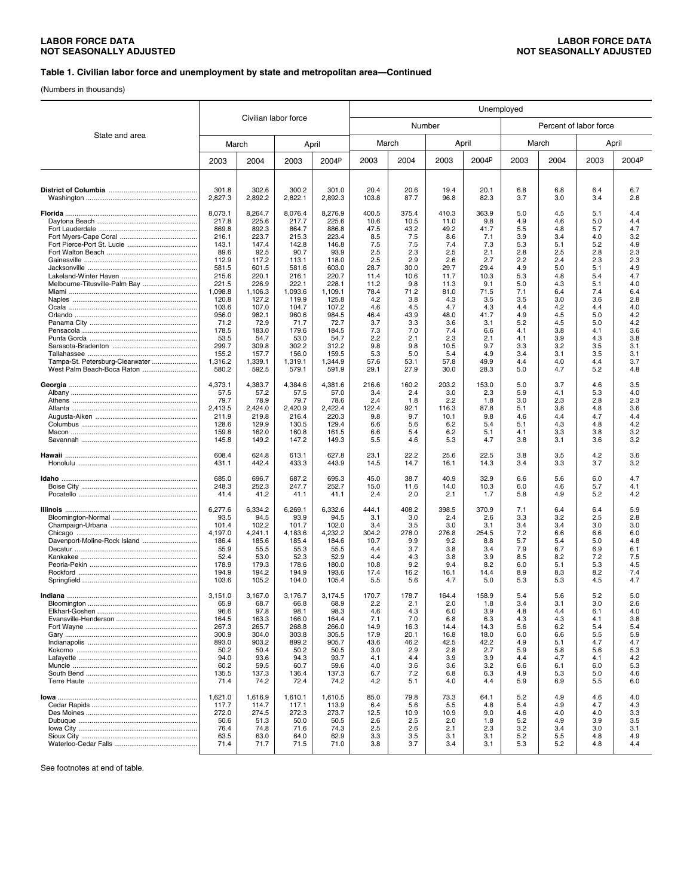#### **Table 1. Civilian labor force and unemployment by state and metropolitan area—Continued**

(Numbers in thousands)

|                                 |                  |                      |                  | Unemployed        |               |              |              |              |            |                        |            |            |
|---------------------------------|------------------|----------------------|------------------|-------------------|---------------|--------------|--------------|--------------|------------|------------------------|------------|------------|
| State and area                  |                  | Civilian labor force |                  |                   |               | Number       |              |              |            | Percent of labor force |            |            |
|                                 | March            |                      | April            |                   | March         |              |              | April        |            | March                  |            | April      |
|                                 | 2003             | 2004                 | 2003             | 2004 <sup>p</sup> | 2003          | 2004         | 2003         | 2004P        | 2003       | 2004                   | 2003       | 2004P      |
|                                 |                  |                      |                  |                   |               |              |              |              |            |                        |            |            |
|                                 | 301.8<br>2,827.3 | 302.6<br>2,892.2     | 300.2<br>2,822.1 | 301.0<br>2,892.3  | 20.4<br>103.8 | 20.6<br>87.7 | 19.4<br>96.8 | 20.1<br>82.3 | 6.8<br>3.7 | 6.8<br>3.0             | 6.4<br>3.4 | 6.7<br>2.8 |
|                                 | 8,073.1          | 8,264.7              | 8,076.4          | 8.276.9           | 400.5         | 375.4        | 410.3        | 363.9        | 5.0        | 4.5                    | 5.1        | 4.4        |
|                                 | 217.8<br>869.8   | 225.6<br>892.3       | 217.7<br>864.7   | 225.6<br>886.8    | 10.6<br>47.5  | 10.5<br>43.2 | 11.0<br>49.2 | 9.8<br>41.7  | 4.9<br>5.5 | 4.6<br>4.8             | 5.0<br>5.7 | 4.4<br>4.7 |
|                                 | 216.1            | 223.7                | 215.3            | 223.4             | 8.5           | 7.5          | 8.6          | 7.1          | 3.9        | 3.4                    | 4.0        | 3.2        |
|                                 | 143.1            | 147.4                | 142.8            | 146.8             | 7.5           | 7.5          | 7.4          | 7.3          | 5.3        | 5.1                    | 5.2        | 4.9        |
|                                 | 89.6<br>112.9    | 92.5<br>117.2        | 90.7<br>113.1    | 93.9<br>118.0     | 2.5<br>2.5    | 2.3<br>2.9   | 2.5<br>2.6   | 2.1<br>2.7   | 2.8<br>2.2 | 2.5<br>2.4             | 2.8<br>2.3 | 2.3<br>2.3 |
|                                 | 581.5            | 601.5                | 581.6            | 603.0             | 28.7          | 30.0         | 29.7         | 29.4         | 4.9        | 5.0                    | 5.1        | 4.9        |
|                                 | 215.6            | 220.1                | 216.1            | 220.7             | 11.4          | 10.6         | 11.7         | 10.3         | 5.3        | 4.8                    | 5.4        | 4.7        |
|                                 | 221.5            | 226.9                | 222.1            | 228.1             | 11.2          | 9.8          | 11.3         | 9.1          | 5.0        | 4.3                    | 5.1        | 4.0        |
|                                 | 1,098.8<br>120.8 | 1,106.3<br>127.2     | 1,093.6<br>119.9 | 1,109.1<br>125.8  | 78.4<br>4.2   | 71.2<br>3.8  | 81.0<br>4.3  | 71.5<br>3.5  | 7.1<br>3.5 | 6.4<br>3.0             | 7.4<br>3.6 | 6.4<br>2.8 |
|                                 | 103.6            | 107.0                | 104.7            | 107.2             | 4.6           | 4.5          | 4.7          | 4.3          | 4.4        | 4.2                    | 4.4        | 4.0        |
|                                 | 956.0            | 982.1                | 960.6            | 984.5             | 46.4          | 43.9         | 48.0         | 41.7         | 4.9        | 4.5                    | 5.0        | 4.2        |
|                                 | 71.2             | 72.9                 | 71.7             | 72.7              | 3.7           | 3.3          | 3.6          | 3.1          | 5.2        | 4.5                    | 5.0        | 4.2        |
|                                 | 178.5            | 183.0                | 179.6            | 184.5             | 7.3<br>2.2    | 7.0          | 7.4          | 6.6<br>2.1   | 4.1        | 3.8                    | 4.1        | 3.6        |
|                                 | 53.5<br>299.7    | 54.7<br>309.8        | 53.0<br>302.2    | 54.7<br>312.2     | 9.8           | 2.1<br>9.8   | 2.3<br>10.5  | 9.7          | 4.1<br>3.3 | 3.9<br>3.2             | 4.3<br>3.5 | 3.8<br>3.1 |
|                                 | 155.2            | 157.7                | 156.0            | 159.5             | 5.3           | 5.0          | 5.4          | 4.9          | 3.4        | 3.1                    | 3.5        | 3.1        |
| Tampa-St. Petersburg-Clearwater | 1,316.2          | 1,339.1              | 1,319.1          | 1,344.9           | 57.6          | 53.1         | 57.8         | 49.9         | 4.4        | 4.0                    | 4.4        | 3.7        |
| West Palm Beach-Boca Raton      | 580.2            | 592.5                | 579.1            | 591.9             | 29.1          | 27.9         | 30.0         | 28.3         | 5.0        | 4.7                    | 5.2        | 4.8        |
|                                 | 4,373.1          | 4,383.7              | 4,384.6          | 4,381.6           | 216.6         | 160.2        | 203.2        | 153.0        | 5.0        | 3.7                    | 4.6        | 3.5        |
|                                 | 57.5             | 57.2                 | 57.5             | 57.0              | 3.4           | 2.4          | 3.0          | 2.3          | 5.9        | 4.1                    | 5.3        | 4.0        |
|                                 | 79.7<br>2,413.5  | 78.9<br>2,424.0      | 79.7<br>2,420.9  | 78.6<br>2,422.4   | 2.4<br>122.4  | 1.8<br>92.1  | 2.2<br>116.3 | 1.8<br>87.8  | 3.0<br>5.1 | 2.3<br>3.8             | 2.8<br>4.8 | 2.3<br>3.6 |
|                                 | 211.9            | 219.8                | 216.4            | 220.3             | 9.8           | 9.7          | 10.1         | 9.8          | 4.6        | 4.4                    | 4.7        | 4.4        |
|                                 | 128.6            | 129.9                | 130.5            | 129.4             | 6.6           | 5.6          | 6.2          | 5.4          | 5.1        | 4.3                    | 4.8        | 4.2        |
|                                 | 159.8            | 162.0                | 160.8            | 161.5             | 6.6           | 5.4          | 6.2          | 5.1          | 4.1        | 3.3                    | 3.8        | 3.2        |
|                                 | 145.8            | 149.2                | 147.2            | 149.3             | 5.5           | 4.6          | 5.3          | 4.7          | 3.8        | 3.1                    | 3.6        | 3.2        |
|                                 | 608.4<br>431.1   | 624.8<br>442.4       | 613.1<br>433.3   | 627.8<br>443.9    | 23.1<br>14.5  | 22.2<br>14.7 | 25.6<br>16.1 | 22.5<br>14.3 | 3.8<br>3.4 | 3.5<br>3.3             | 4.2<br>3.7 | 3.6<br>3.2 |
|                                 |                  |                      |                  |                   |               |              |              |              |            |                        |            |            |
|                                 | 685.0<br>248.3   | 696.7<br>252.3       | 687.2<br>247.7   | 695.3<br>252.7    | 45.0<br>15.0  | 38.7<br>11.6 | 40.9<br>14.0 | 32.9<br>10.3 | 6.6<br>6.0 | 5.6<br>4.6             | 6.0<br>5.7 | 4.7<br>4.1 |
|                                 | 41.4             | 41.2                 | 41.1             | 41.1              | 2.4           | 2.0          | 2.1          | 1.7          | 5.8        | 4.9                    | 5.2        | 4.2        |
|                                 | 6,277.6          | 6,334.2              | 6,269.1          | 6,332.6           | 444.1         | 408.2        | 398.5        | 370.9        | 7.1        | 6.4                    | 6.4        | 5.9        |
|                                 | 93.5             | 94.5                 | 93.9             | 94.5              | 3.1           | 3.0          | 2.4          | 2.6          | 3.3        | 3.2                    | 2.5        | 2.8        |
|                                 | 101.4            | 102.2                | 101.7            | 102.0             | 3.4<br>304.2  | 3.5          | 3.0          | 3.1          | 3.4        | 3.4                    | 3.0        | 3.0        |
| Davenport-Moline-Rock Island    | 4,197.0<br>186.4 | 4,241.1<br>185.6     | 4,183.6<br>185.4 | 4,232.2<br>184.6  | 10.7          | 278.0<br>9.9 | 276.8<br>9.2 | 254.5<br>8.8 | 7.2<br>5.7 | 6.6<br>5.4             | 6.6<br>5.0 | 6.0<br>4.8 |
|                                 | 55.9             | 55.5                 | 55.3             | 55.5              | 4.4           | 3.7          | 3.8          | 3.4          | 7.9        | 6.7                    | 6.9        | 6.1        |
|                                 | 52.4             | 53.0                 | 52.3             | 52.9              | 4.4           | 4.3          | 3.8          | 3.9          | 8.5        | 8.2                    | 7.2        | 7.5        |
|                                 | 178.9            | 179.3                | 178.6            | 180.0             | 10.8          | 9.2          | 9.4          | 8.2          | 6.0        | 5.1                    | 5.3        | 4.5        |
|                                 | 194.9<br>103.6   | 194.2<br>105.2       | 194.9<br>104.0   | 193.6<br>105.4    | 17.4<br>5.5   | 16.2<br>5.6  | 16.1<br>4.7  | 14.4<br>5.0  | 8.9<br>5.3 | 8.3<br>5.3             | 8.2<br>4.5 | 7.4<br>4.7 |
|                                 | 3.151.0          | 3.167.0              | 3,176.7          | 3,174.5           | 170.7         | 178.7        | 164.4        | 158.9        | 5.4        | 5.6                    | 5.2        | 5.0        |
|                                 | 65.9             | 68.7                 | 66.8             | 68.9              | 2.2           | 2.1          | 2.0          | 1.8          | 3.4        | 3.1                    | 3.0        | 2.6        |
|                                 | 96.6             | 97.8                 | 98.1             | 98.3              | 4.6           | 4.3          | 6.0          | 3.9          | 4.8        | 4.4                    | 6.1        | 4.0        |
|                                 | 164.5<br>267.3   | 163.3<br>265.7       | 166.0<br>268.8   | 164.4<br>266.0    | 7.1<br>14.9   | 7.0          | 6.8<br>14.4  | 6.3<br>14.3  | 4.3<br>5.6 | 4.3<br>6.2             | 4.1<br>5.4 | 3.8<br>5.4 |
|                                 | 300.9            | 304.0                | 303.8            | 305.5             | 17.9          | 16.3<br>20.1 | 16.8         | 18.0         | 6.0        | 6.6                    | 5.5        | 5.9        |
|                                 | 893.0            | 903.2                | 899.2            | 905.7             | 43.6          | 46.2         | 42.5         | 42.2         | 4.9        | 5.1                    | 4.7        | 4.7        |
|                                 | 50.2             | 50.4                 | 50.2             | 50.5              | 3.0           | 2.9          | 2.8          | 2.7          | 5.9        | 5.8                    | 5.6        | 5.3        |
|                                 | 94.0             | 93.6                 | 94.3             | 93.7              | 4.1           | 4.4          | 3.9          | 3.9<br>3.2   | 4.4        | 4.7                    | 4.1        | 4.2        |
|                                 | 60.2<br>135.5    | 59.5<br>137.3        | 60.7<br>136.4    | 59.6<br>137.3     | 4.0<br>6.7    | 3.6<br>7.2   | 3.6<br>6.8   | 6.3          | 6.6<br>4.9 | 6.1<br>5.3             | 6.0<br>5.0 | 5.3<br>4.6 |
|                                 | 71.4             | 74.2                 | 72.4             | 74.2              | 4.2           | 5.1          | 4.0          | 4.4          | 5.9        | 6.9                    | 5.5        | 6.0        |
|                                 | 1,621.0          | 1,616.9              | 1,610.1          | 1,610.5           | 85.0          | 79.8         | 73.3         | 64.1         | 5.2        | 4.9                    | 4.6        | 4.0        |
|                                 | 117.7            | 114.7                | 117.1            | 113.9             | 6.4           | 5.6          | 5.5          | 4.8          | 5.4        | 4.9                    | 4.7        | 4.3        |
|                                 | 272.0            | 274.5                | 272.3            | 273.7             | 12.5          | 10.9         | 10.9         | 9.0          | 4.6        | 4.0                    | 4.0        | 3.3        |
|                                 | 50.6             | 51.3                 | 50.0             | 50.5              | 2.6           | 2.5          | 2.0          | 1.8          | 5.2        | 4.9                    | 3.9        | 3.5        |
|                                 | 76.4             | 74.8                 | 71.6             | 74.3              | 2.5           | 2.6          | 2.1          | 2.3          | 3.2        | 3.4                    | 3.0        | 3.1        |
|                                 | 63.5<br>71.4     | 63.0<br>71.7         | 64.0<br>71.5     | 62.9<br>71.0      | 3.3<br>3.8    | 3.5<br>3.7   | 3.1<br>3.4   | 3.1<br>3.1   | 5.2<br>5.3 | 5.5<br>5.2             | 4.8<br>4.8 | 4.9<br>4.4 |
|                                 |                  |                      |                  |                   |               |              |              |              |            |                        |            |            |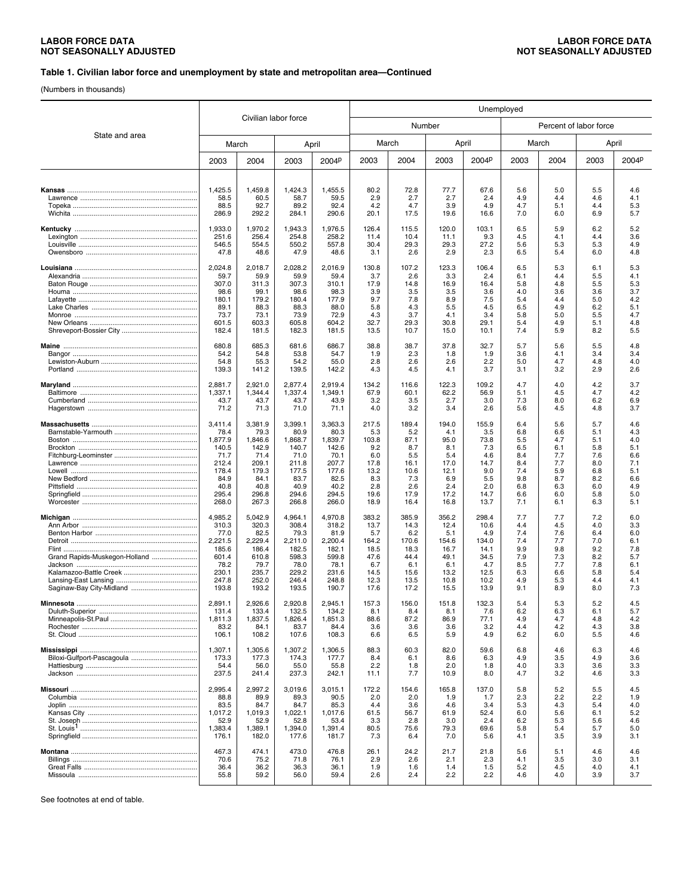#### **Table 1. Civilian labor force and unemployment by state and metropolitan area—Continued**

(Numbers in thousands)

|                               |                    |                      |                    | Unemployed         |               |               |               |               |            |                        |            |            |
|-------------------------------|--------------------|----------------------|--------------------|--------------------|---------------|---------------|---------------|---------------|------------|------------------------|------------|------------|
|                               |                    | Civilian labor force |                    |                    |               | Number        |               |               |            | Percent of labor force |            |            |
| State and area                | March              |                      | April              |                    |               | March         |               | April         |            | March                  |            | April      |
|                               | 2003               | 2004                 | 2003               | 2004 <sup>p</sup>  | 2003          | 2004          | 2003          | 2004P         | 2003       | 2004                   | 2003       | 2004P      |
|                               |                    |                      |                    |                    |               |               |               |               |            |                        |            |            |
|                               | 1,425.5<br>58.5    | 1,459.8<br>60.5      | 1,424.3<br>58.7    | 1,455.5<br>59.5    | 80.2<br>2.9   | 72.8<br>2.7   | 77.7<br>2.7   | 67.6<br>2.4   | 5.6<br>4.9 | 5.0<br>4.4             | 5.5<br>4.6 | 4.6<br>4.1 |
|                               | 88.5<br>286.9      | 92.7<br>292.2        | 89.2<br>284.1      | 92.4<br>290.6      | 4.2<br>20.1   | 4.7<br>17.5   | 3.9<br>19.6   | 4.9<br>16.6   | 4.7<br>7.0 | 5.1<br>6.0             | 4.4<br>6.9 | 5.3<br>5.7 |
|                               | 1,933.0            | 1,970.2              | 1.943.3            | 1,976.5            | 126.4         | 115.5         | 120.0         | 103.1         | 6.5        | 5.9                    | 6.2        | 5.2        |
|                               | 251.6<br>546.5     | 256.4<br>554.5       | 254.8<br>550.2     | 258.2<br>557.8     | 11.4<br>30.4  | 10.4<br>29.3  | 11.1<br>29.3  | 9.3<br>27.2   | 4.5<br>5.6 | 4.1<br>5.3             | 4.4<br>5.3 | 3.6<br>4.9 |
|                               | 47.8               | 48.6                 | 47.9               | 48.6               | 3.1           | 2.6           | 2.9           | 2.3           | 6.5        | 5.4                    | 6.0        | 4.8        |
|                               | 2,024.8<br>59.7    | 2,018.7<br>59.9      | 2,028.2<br>59.9    | 2,016.9<br>59.4    | 130.8<br>3.7  | 107.2<br>2.6  | 123.3<br>3.3  | 106.4<br>2.4  | 6.5<br>6.1 | 5.3<br>4.4             | 6.1<br>5.5 | 5.3<br>4.1 |
|                               | 307.0              | 311.3                | 307.3              | 310.1              | 17.9          | 14.8          | 16.9          | 16.4          | 5.8        | 4.8                    | 5.5        | 5.3        |
|                               | 98.6               | 99.1                 | 98.6               | 98.3               | 3.9           | 3.5           | 3.5           | 3.6           | 4.0        | 3.6                    | 3.6        | 3.7        |
|                               | 180.1<br>89.1      | 179.2<br>88.3        | 180.4<br>88.3      | 177.9<br>88.0      | 9.7<br>5.8    | 7.8<br>4.3    | 8.9<br>5.5    | 7.5<br>4.5    | 5.4<br>6.5 | 4.4<br>4.9             | 5.0<br>6.2 | 4.2<br>5.1 |
|                               | 73.7               | 73.1                 | 73.9               | 72.9               | 4.3           | 3.7           | 4.1           | 3.4           | 5.8        | 5.0                    | 5.5        | 4.7        |
|                               | 601.5              | 603.3                | 605.8              | 604.2              | 32.7          | 29.3          | 30.8          | 29.1          | 5.4        | 4.9                    | 5.1        | 4.8        |
|                               | 182.4              | 181.5                | 182.3              | 181.5              | 13.5          | 10.7          | 15.0          | 10.1          | 7.4        | 5.9                    | 8.2        | 5.5        |
|                               | 680.8<br>54.2      | 685.3<br>54.8        | 681.6<br>53.8      | 686.7<br>54.7      | 38.8<br>1.9   | 38.7<br>2.3   | 37.8<br>1.8   | 32.7<br>1.9   | 5.7<br>3.6 | 5.6<br>4.1             | 5.5<br>3.4 | 4.8<br>3.4 |
|                               | 54.8<br>139.3      | 55.3<br>141.2        | 54.2<br>139.5      | 55.0<br>142.2      | 2.8<br>4.3    | 2.6<br>4.5    | 2.6<br>4.1    | 2.2<br>3.7    | 5.0<br>3.1 | 4.7<br>3.2             | 4.8<br>2.9 | 4.0<br>2.6 |
|                               |                    |                      |                    |                    |               |               |               |               |            |                        |            |            |
|                               | 2,881.7<br>1,337.1 | 2.921.0<br>1,344.4   | 2,877.4<br>1,337.4 | 2.919.4<br>1,349.1 | 134.2<br>67.9 | 116.6<br>60.1 | 122.3<br>62.2 | 109.2<br>56.9 | 4.7<br>5.1 | 4.0<br>4.5             | 4.2<br>4.7 | 3.7<br>4.2 |
|                               | 43.7               | 43.7                 | 43.7               | 43.9               | 3.2           | 3.5           | 2.7           | 3.0           | 7.3        | 8.0                    | 6.2        | 6.9        |
|                               | 71.2               | 71.3                 | 71.0               | 71.1               | 4.0           | 3.2           | 3.4           | 2.6           | 5.6        | 4.5                    | 4.8        | 3.7        |
|                               | 3,411.4<br>78.4    | 3,381.9<br>79.3      | 3,399.1<br>80.9    | 3,363.3<br>80.3    | 217.5<br>5.3  | 189.4<br>5.2  | 194.0<br>4.1  | 155.9<br>3.5  | 6.4<br>6.8 | 5.6<br>6.6             | 5.7<br>5.1 | 4.6<br>4.3 |
|                               | 1,877.9            | 1,846.6              | 1,868.7            | 1,839.7            | 103.8         | 87.1          | 95.0          | 73.8          | 5.5        | 4.7                    | 5.1        | 4.0        |
|                               | 140.5              | 142.9                | 140.7              | 142.6              | 9.2           | 8.7           | 8.1           | 7.3           | 6.5        | 6.1                    | 5.8        | 5.1        |
|                               | 71.7<br>212.4      | 71.4<br>209.1        | 71.0<br>211.8      | 70.1<br>207.7      | 6.0<br>17.8   | 5.5<br>16.1   | 5.4<br>17.0   | 4.6<br>14.7   | 8.4<br>8.4 | 7.7<br>7.7             | 7.6<br>8.0 | 6.6<br>7.1 |
|                               | 178.4              | 179.3                | 177.5              | 177.6              | 13.2          | 10.6          | 12.1          | 9.0           | 7.4        | 5.9                    | 6.8        | 5.1        |
|                               | 84.9               | 84.1                 | 83.7               | 82.5               | 8.3           | 7.3           | 6.9           | 5.5           | 9.8        | 8.7                    | 8.2        | 6.6        |
|                               | 40.8<br>295.4      | 40.8<br>296.8        | 40.9<br>294.6      | 40.2<br>294.5      | 2.8<br>19.6   | 2.6<br>17.9   | 2.4<br>17.2   | 2.0<br>14.7   | 6.8<br>6.6 | 6.3<br>6.0             | 6.0<br>5.8 | 4.9<br>5.0 |
|                               | 268.0              | 267.3                | 266.8              | 266.0              | 18.9          | 16.4          | 16.8          | 13.7          | 7.1        | 6.1                    | 6.3        | 5.1        |
|                               | 4,985.2            | 5,042.9              | 4,964.1            | 4,970.8            | 383.2         | 385.9         | 356.2         | 298.4         | 7.7        | 7.7                    | 7.2        | 6.0        |
|                               | 310.3<br>77.0      | 320.3<br>82.5        | 308.4<br>79.3      | 318.2<br>81.9      | 13.7<br>5.7   | 14.3<br>6.2   | 12.4<br>5.1   | 10.6<br>4.9   | 4.4<br>7.4 | 4.5<br>7.6             | 4.0<br>6.4 | 3.3<br>6.0 |
|                               | 2,221.5            | 2,229.4              | 2,211.0            | 2,200.4            | 164.2         | 170.6         | 154.6         | 134.0         | 7.4        | 7.7                    | 7.0        | 6.1        |
|                               | 185.6              | 186.4                | 182.5              | 182.1              | 18.5          | 18.3          | 16.7          | 14.1          | 9.9        | 9.8                    | 9.2        | 7.8        |
| Grand Rapids-Muskegon-Holland | 601.4<br>78.2      | 610.8<br>79.7        | 598.3<br>78.0      | 599.8<br>78.1      | 47.6<br>6.7   | 44.4<br>6.1   | 49.1<br>6.1   | 34.5<br>4.7   | 7.9<br>8.5 | 7.3<br>7.7             | 8.2<br>7.8 | 5.7<br>6.1 |
|                               | 230.1              | 235.7                | 229.2              | 231.6              | 14.5          | 15.6          | 13.2          | 12.5          | 6.3        | 6.6                    | 5.8        | 5.4        |
|                               | 247.8              | 252.0                | 246.4              | 248.8              | 12.3          | 13.5          | 10.8          | 10.2          | 4.9        | 5.3                    | 4.4        | 4.1        |
|                               | 193.8              | 193.2                | 193.5              | 190.7              | 17.6          | 17.2          | 15.5          | 13.9          | 9.1        | 8.9                    | 8.0        | 7.3        |
|                               | 2,891.1<br>131.4   | 2,926.6<br>133.4     | 2,920.8<br>132.5   | 2,945.1<br>134.2   | 157.3<br>8.1  | 156.0<br>8.4  | 151.8<br>8.1  | 132.3<br>7.6  | 5.4<br>6.2 | 5.3<br>6.3             | 5.2<br>6.1 | 4.5<br>5.7 |
|                               | 1,811.3            | 1.837.5              | 1,826.4            | 1,851.3            | 88.6          | 87.2          | 86.9          | 77.1          | 4.9        | 4.7                    | 4.8        | 4.2        |
|                               | 83.2<br>106.1      | 84.1<br>108.2        | 83.7<br>107.6      | 84.4<br>108.3      | 3.6<br>6.6    | 3.6<br>6.5    | 3.6<br>5.9    | 3.2<br>4.9    | 4.4<br>6.2 | 4.2<br>6.0             | 4.3<br>5.5 | 3.8<br>4.6 |
|                               | 1,307.1            | 1,305.6              |                    |                    | 88.3          | 60.3          |               |               |            |                        |            |            |
|                               | 173.3              | 177.3                | 1,307.2<br>174.3   | 1,306.5<br>177.7   | 8.4           | 6.1           | 82.0<br>8.6   | 59.6<br>6.3   | 6.8<br>4.9 | 4.6<br>3.5             | 6.3<br>4.9 | 4.6<br>3.6 |
|                               | 54.4               | 56.0                 | 55.0               | 55.8               | 2.2           | 1.8           | 2.0           | 1.8           | 4.0        | 3.3                    | 3.6        | 3.3        |
|                               | 237.5              | 241.4                | 237.3              | 242.1              | 11.1          | 7.7           | 10.9          | 8.0           | 4.7        | 3.2                    | 4.6        | 3.3        |
|                               | 2,995.4            | 2,997.2              | 3,019.6            | 3,015.1            | 172.2         | 154.6         | 165.8         | 137.0         | 5.8        | 5.2                    | 5.5        | 4.5        |
|                               | 88.8<br>83.5       | 89.9<br>84.7         | 89.3<br>84.7       | 90.5<br>85.3       | 2.0<br>4.4    | 2.0<br>3.6    | 1.9<br>4.6    | 1.7<br>3.4    | 2.3<br>5.3 | 2.2<br>4.3             | 2.2<br>5.4 | 1.9<br>4.0 |
|                               | 1,017.2            | 1,019.3              | 1,022.1            | 1,017.6            | 61.5          | 56.7          | 61.9          | 52.4          | 6.0        | 5.6                    | 6.1        | 5.2        |
|                               | 52.9               | 52.9                 | 52.8               | 53.4               | 3.3           | 2.8           | 3.0           | 2.4           | 6.2        | 5.3                    | 5.6        | 4.6        |
|                               | 1,383.4<br>176.1   | 1,389.1<br>182.0     | 1,394.0<br>177.6   | 1,391.4<br>181.7   | 80.5<br>7.3   | 75.6<br>6.4   | 79.3<br>7.0   | 69.6<br>5.6   | 5.8<br>4.1 | 5.4<br>3.5             | 5.7<br>3.9 | 5.0<br>3.1 |
|                               |                    |                      |                    |                    |               |               |               |               |            |                        |            |            |
|                               | 467.3<br>70.6      | 474.1<br>75.2        | 473.0<br>71.8      | 476.8<br>76.1      | 26.1<br>2.9   | 24.2<br>2.6   | 21.7<br>2.1   | 21.8          | 5.6<br>4.1 | 5.1<br>3.5             | 4.6<br>3.0 | 4.6<br>3.1 |
|                               | 36.4               | 36.2                 | 36.3               | 36.1               | 1.9           | 1.6           | 1.4           | 2.3<br>1.5    | 5.2        | 4.5                    | 4.0        | 4.1        |
|                               | 55.8               | 59.2                 | 56.0               | 59.4               | 2.6           | 2.4           | 2.2           | 2.2           | 4.6        | 4.0                    | 3.9        | 3.7        |
|                               |                    |                      |                    |                    |               |               |               |               |            |                        |            |            |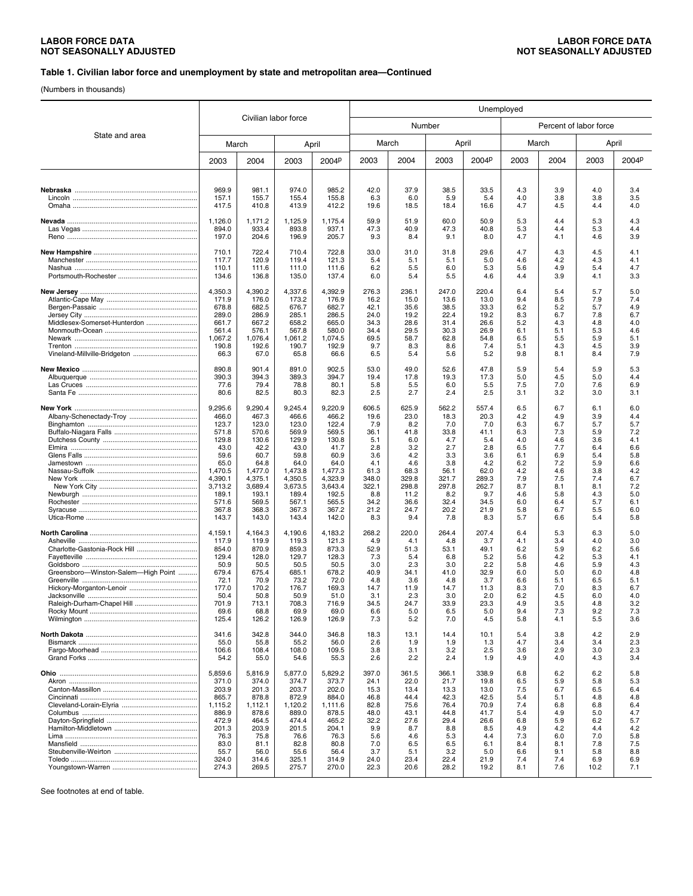#### **Table 1. Civilian labor force and unemployment by state and metropolitan area—Continued**

(Numbers in thousands)

|                                     |                  |                      |                  | Unemployed        |               |               |               |               |            |                        |             |            |
|-------------------------------------|------------------|----------------------|------------------|-------------------|---------------|---------------|---------------|---------------|------------|------------------------|-------------|------------|
| State and area                      |                  | Civilian labor force |                  |                   |               | Number        |               |               |            | Percent of labor force |             |            |
|                                     | March            |                      | April            |                   |               | March         |               | April         |            | March                  |             | April      |
|                                     | 2003             | 2004                 | 2003             | 2004 <sup>p</sup> | 2003          | 2004          | 2003          | 2004P         | 2003       | 2004                   | 2003        | 2004P      |
|                                     |                  |                      |                  |                   |               |               |               |               |            |                        |             |            |
|                                     | 969.9<br>157.1   | 981.1<br>155.7       | 974.0<br>155.4   | 985.2<br>155.8    | 42.0<br>6.3   | 37.9<br>6.0   | 38.5<br>5.9   | 33.5<br>5.4   | 4.3<br>4.0 | 3.9<br>3.8             | 4.0<br>3.8  | 3.4<br>3.5 |
|                                     | 417.5            | 410.8                | 413.9            | 412.2             | 19.6          | 18.5          | 18.4          | 16.6          | 4.7        | 4.5                    | 4.4         | 4.0        |
|                                     | 1,126.0          | 1,171.2              | 1,125.9          | 1,175.4           | 59.9          | 51.9          | 60.0          | 50.9          | 5.3        | 4.4                    | 5.3         | 4.3        |
|                                     | 894.0<br>197.0   | 933.4<br>204.6       | 893.8<br>196.9   | 937.1<br>205.7    | 47.3<br>9.3   | 40.9<br>8.4   | 47.3<br>9.1   | 40.8<br>8.0   | 5.3<br>4.7 | 4.4<br>4.1             | 5.3<br>4.6  | 4.4<br>3.9 |
|                                     | 710.1            | 722.4                | 710.4            | 722.8             | 33.0          | 31.0          | 31.8          | 29.6          | 4.7        | 4.3                    | 4.5         | 4.1        |
|                                     | 117.7<br>110.1   | 120.9<br>111.6       | 119.4<br>111.0   | 121.3<br>111.6    | 5.4<br>6.2    | 5.1<br>5.5    | 5.1<br>6.0    | 5.0<br>5.3    | 4.6<br>5.6 | 4.2<br>4.9             | 4.3<br>5.4  | 4.1<br>4.7 |
|                                     | 134.6            | 136.8                | 135.0            | 137.4             | 6.0           | 5.4           | 5.5           | 4.6           | 4.4        | 3.9                    | 4.1         | 3.3        |
|                                     | 4,350.3<br>171.9 | 4,390.2<br>176.0     | 4,337.6<br>173.2 | 4,392.9<br>176.9  | 276.3<br>16.2 | 236.1<br>15.0 | 247.0<br>13.6 | 220.4<br>13.0 | 6.4<br>9.4 | 5.4<br>8.5             | 5.7<br>7.9  | 5.0<br>7.4 |
|                                     | 678.8            | 682.5                | 676.7            | 682.7             | 42.1          | 35.6          | 38.5          | 33.3          | 6.2        | 5.2                    | 5.7         | 4.9        |
|                                     | 289.0            | 286.9                | 285.1            | 286.5             | 24.0          | 19.2          | 22.4          | 19.2          | 8.3        | 6.7                    | 7.8         | 6.7        |
| Middlesex-Somerset-Hunterdon        | 661.7<br>561.4   | 667.2<br>576.1       | 658.2<br>567.8   | 665.0<br>580.0    | 34.3<br>34.4  | 28.6<br>29.5  | 31.4<br>30.3  | 26.6<br>26.9  | 5.2<br>6.1 | 4.3<br>5.1             | 4.8<br>5.3  | 4.0<br>4.6 |
|                                     | 1,067.2          | 1,076.4              | 1,061.2          | 1,074.5           | 69.5          | 58.7          | 62.8          | 54.8          | 6.5        | 5.5                    | 5.9         | 5.1        |
| Vineland-Millville-Bridgeton        | 190.8<br>66.3    | 192.6<br>67.0        | 190.7<br>65.8    | 192.9<br>66.6     | 9.7<br>6.5    | 8.3<br>5.4    | 8.6<br>5.6    | 7.4<br>5.2    | 5.1<br>9.8 | 4.3<br>8.1             | 4.5<br>8.4  | 3.9<br>7.9 |
|                                     | 890.8            | 901.4                | 891.0            | 902.5             | 53.0          | 49.0          | 52.6          | 47.8          | 5.9        | 5.4                    | 5.9         | 5.3        |
|                                     | 390.3<br>77.6    | 394.3<br>79.4        | 389.3<br>78.8    | 394.7<br>80.1     | 19.4<br>5.8   | 17.8<br>5.5   | 19.3<br>6.0   | 17.3<br>5.5   | 5.0<br>7.5 | 4.5<br>7.0             | 5.0<br>7.6  | 4.4<br>6.9 |
|                                     | 80.6             | 82.5                 | 80.3             | 82.3              | 2.5           | 2.7           | 2.4           | 2.5           | 3.1        | 3.2                    | 3.0         | 3.1        |
|                                     | 9,295.6          | 9,290.4              | 9,245.4          | 9,220.9           | 606.5         | 625.9         | 562.2         | 557.4         | 6.5        | 6.7                    | 6.1         | 6.0        |
|                                     | 466.0<br>123.7   | 467.3<br>123.0       | 466.6<br>123.0   | 466.2<br>122.4    | 19.6<br>7.9   | 23.0<br>8.2   | 18.3<br>7.0   | 20.3<br>7.0   | 4.2<br>6.3 | 4.9<br>6.7             | 3.9<br>5.7  | 4.4<br>5.7 |
|                                     | 571.8            | 570.6                | 569.9            | 569.5             | 36.1          | 41.8          | 33.8          | 41.1          | 6.3        | 7.3                    | 5.9         | 7.2        |
|                                     | 129.8<br>43.0    | 130.6<br>42.2        | 129.9<br>43.0    | 130.8<br>41.7     | 5.1<br>2.8    | 6.0<br>3.2    | 4.7<br>2.7    | 5.4<br>2.8    | 4.0<br>6.5 | 4.6<br>7.7             | 3.6<br>6.4  | 4.1<br>6.6 |
|                                     | 59.6             | 60.7                 | 59.8             | 60.9              | 3.6           | 4.2           | 3.3           | 3.6           | 6.1        | 6.9                    | 5.4         | 5.8        |
|                                     | 65.0<br>1,470.5  | 64.8<br>1,477.0      | 64.0<br>1,473.8  | 64.0<br>1.477.3   | 4.1<br>61.3   | 4.6<br>68.3   | 3.8<br>56.1   | 4.2<br>62.0   | 6.2<br>4.2 | 7.2<br>4.6             | 5.9<br>3.8  | 6.6<br>4.2 |
|                                     | 4,390.1          | 4,375.1              | 4,350.5          | 4,323.9           | 348.0         | 329.8         | 321.7         | 289.3         | 7.9        | 7.5                    | 7.4         | 6.7        |
|                                     | 3,713.2<br>189.1 | 3,689.4<br>193.1     | 3,673.5<br>189.4 | 3,643.4<br>192.5  | 322.1<br>8.8  | 298.8<br>11.2 | 297.8<br>8.2  | 262.7<br>9.7  | 8.7<br>4.6 | 8.1<br>5.8             | 8.1<br>4.3  | 7.2<br>5.0 |
|                                     | 571.6            | 569.5                | 567.1            | 565.5             | 34.2          | 36.6          | 32.4          | 34.5          | 6.0        | 6.4                    | 5.7         | 6.1        |
|                                     | 367.8            | 368.3                | 367.3            | 367.2             | 21.2          | 24.7          | 20.2          | 21.9          | 5.8        | 6.7                    | 5.5         | 6.0        |
|                                     | 143.7            | 143.0                | 143.4            | 142.0             | 8.3           | 9.4           | 7.8           | 8.3           | 5.7        | 6.6                    | 5.4         | 5.8        |
|                                     | 4,159.1<br>117.9 | 4,164.3<br>119.9     | 4,190.6<br>119.3 | 4,183.2<br>121.3  | 268.2<br>4.9  | 220.0<br>4.1  | 264.4<br>4.8  | 207.4<br>3.7  | 6.4<br>4.1 | 5.3<br>3.4             | 6.3<br>4.0  | 5.0<br>3.0 |
| Charlotte-Gastonia-Rock Hill        | 854.0<br>129.4   | 870.9<br>128.0       | 859.3<br>129.7   | 873.3<br>128.3    | 52.9<br>7.3   | 51.3<br>5.4   | 53.1<br>6.8   | 49.1<br>5.2   | 6.2<br>5.6 | 5.9<br>4.2             | 6.2<br>5.3  | 5.6<br>4.1 |
|                                     | 50.9             | 50.5                 | 50.5             | 50.5              | 3.0           | 2.3           | 3.0           | 2.2           | 5.8        | 4.6                    | 5.9         | 4.3        |
| Greensboro-Winston-Salem-High Point | 679.4<br>72.1    | 675.4<br>70.9        | 685.1<br>73.2    | 678.2<br>72.0     | 40.9<br>4.8   | 34.1<br>3.6   | 41.0<br>4.8   | 32.9<br>3.7   | 6.0<br>6.6 | 5.0<br>5.1             | 6.0<br>6.5  | 4.8<br>5.1 |
|                                     | 177.0            | 170.2                | 176.7            | 169.3             | 14.7          | 11.9          | 14.7          | 11.3          | 8.3        | 7.0                    | 8.3         | 6.7        |
|                                     | 50.4<br>701.9    | 50.8                 | 50.9<br>708.3    | 51.0              | 3.1<br>34.5   | 2.3<br>24.7   | 3.0<br>33.9   | 2.0<br>23.3   | 6.2<br>4.9 | 4.5<br>3.5             | 6.0<br>4.8  | 4.0<br>3.2 |
|                                     | 69.6             | 713.1<br>68.8        | 69.9             | 716.9<br>69.0     | 6.6           | 5.0           | 6.5           | 5.0           | 9.4        | 7.3                    | 9.2         | 7.3        |
|                                     | 125.4            | 126.2                | 126.9            | 126.9             | 7.3           | 5.2           | 7.0           | 4.5           | 5.8        | 4.1                    | 5.5         | 3.6        |
|                                     | 341.6<br>55.0    | 342.8<br>55.8        | 344.0<br>55.2    | 346.8<br>56.0     | 18.3<br>2.6   | 13.1<br>1.9   | 14.4<br>1.9   | 10.1<br>1.3   | 5.4<br>4.7 | 3.8<br>3.4             | 4.2<br>3.4  | 2.9<br>2.3 |
|                                     | 106.6            | 108.4                | 108.0            | 109.5             | 3.8           | 3.1           | 3.2           | 2.5           | 3.6        | 2.9                    | 3.0         | 2.3        |
|                                     | 54.2             | 55.0                 | 54.6             | 55.3              | 2.6           | 2.2           | 2.4           | 1.9           | 4.9        | 4.0                    | 4.3         | 3.4        |
|                                     | 5,859.6<br>371.0 | 5,816.9<br>374.0     | 5.877.0<br>374.7 | 5,829.2<br>373.7  | 397.0<br>24.1 | 361.5<br>22.0 | 366.1<br>21.7 | 338.9<br>19.8 | 6.8<br>6.5 | 6.2<br>5.9             | 6.2<br>5.8  | 5.8<br>5.3 |
|                                     | 203.9            | 201.3                | 203.7            | 202.0             | 15.3          | 13.4          | 13.3          | 13.0          | 7.5        | 6.7                    | 6.5         | 6.4        |
|                                     | 865.7            | 878.8                | 872.9            | 884.0             | 46.8          | 44.4          | 42.3          | 42.5          | 5.4        | 5.1                    | 4.8         | 4.8        |
|                                     | 1,115.2<br>886.9 | 1,112.1<br>878.6     | 1,120.2<br>889.0 | 1,111.6<br>878.5  | 82.8<br>48.0  | 75.6<br>43.1  | 76.4<br>44.8  | 70.9<br>41.7  | 7.4<br>5.4 | 6.8<br>4.9             | 6.8<br>5.0  | 6.4<br>4.7 |
|                                     | 472.9            | 464.5                | 474.4            | 465.2             | 32.2          | 27.6          | 29.4          | 26.6          | 6.8        | 5.9                    | 6.2         | 5.7        |
|                                     | 201.3<br>76.3    | 203.9<br>75.8        | 201.5<br>76.6    | 204.1<br>76.3     | 9.9<br>5.6    | 8.7<br>4.6    | 8.8<br>5.3    | 8.5<br>4.4    | 4.9<br>7.3 | 4.2<br>6.0             | 4.4<br>7.0  | 4.2<br>5.8 |
|                                     | 83.0             | 81.1                 | 82.8             | 80.8              | 7.0           | 6.5           | 6.5           | 6.1           | 8.4        | 8.1                    | 7.8         | 7.5        |
|                                     | 55.7             | 56.0                 | 55.6             | 56.4              | 3.7           | 5.1           | 3.2           | 5.0           | 6.6        | 9.1                    | 5.8         | 8.8        |
|                                     | 324.0<br>274.3   | 314.6<br>269.5       | 325.1<br>275.7   | 314.9<br>270.0    | 24.0<br>22.3  | 23.4<br>20.6  | 22.4<br>28.2  | 21.9<br>19.2  | 7.4<br>8.1 | 7.4<br>7.6             | 6.9<br>10.2 | 6.9<br>7.1 |
|                                     |                  |                      |                  |                   |               |               |               |               |            |                        |             |            |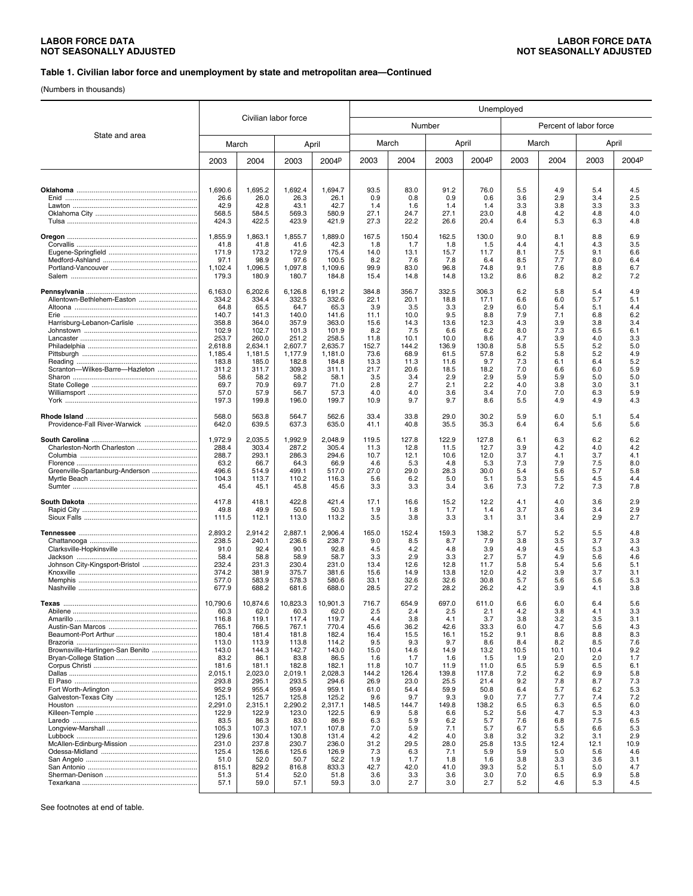#### **Table 1. Civilian labor force and unemployment by state and metropolitan area—Continued**

(Numbers in thousands)

|                                  |                 |                 |                      | Unemployed        |              |              |              |              |             |                        |             |             |
|----------------------------------|-----------------|-----------------|----------------------|-------------------|--------------|--------------|--------------|--------------|-------------|------------------------|-------------|-------------|
|                                  |                 |                 | Civilian labor force |                   |              | Number       |              |              |             | Percent of labor force |             |             |
| State and area                   | March           |                 |                      | April             | March        |              | April        |              |             | March                  |             | April       |
|                                  | 2003            | 2004            | 2003                 | 2004 <sup>p</sup> | 2003         | 2004         | 2003         | 2004P        | 2003        | 2004                   | 2003        | 2004P       |
|                                  |                 |                 |                      |                   |              |              |              |              |             |                        |             |             |
|                                  | 1,690.6<br>26.6 | 1,695.2<br>26.0 | 1,692.4<br>26.3      | 1,694.7<br>26.1   | 93.5<br>0.9  | 83.0<br>0.8  | 91.2<br>0.9  | 76.0<br>0.6  | 5.5<br>3.6  | 4.9<br>2.9             | 5.4<br>3.4  | 4.5<br>2.5  |
|                                  | 42.9            | 42.8            | 43.1                 | 42.7              | 1.4          | 1.6          | 1.4          | 1.4          | 3.3         | 3.8                    | 3.3         | 3.3         |
|                                  | 568.5<br>424.3  | 584.5<br>422.5  | 569.3<br>423.9       | 580.9<br>421.9    | 27.1<br>27.3 | 24.7<br>22.2 | 27.1<br>26.6 | 23.0<br>20.4 | 4.8<br>6.4  | 4.2<br>5.3             | 4.8<br>6.3  | 4.0<br>4.8  |
|                                  |                 |                 |                      |                   |              |              |              |              |             |                        |             |             |
|                                  | 1,855.9<br>41.8 | 1,863.1<br>41.8 | 1,855.7<br>41.6      | 1,889.0<br>42.3   | 167.5<br>1.8 | 150.4<br>1.7 | 162.5<br>1.8 | 130.0<br>1.5 | 9.0<br>4.4  | 8.1<br>4.1             | 8.8<br>4.3  | 6.9<br>3.5  |
|                                  | 171.9           | 173.2           | 172.9                | 175.4             | 14.0         | 13.1         | 15.7         | 11.7         | 8.1         | 7.5                    | 9.1         | 6.6         |
|                                  | 97.1<br>1,102.4 | 98.9<br>1,096.5 | 97.6<br>1,097.8      | 100.5<br>1,109.6  | 8.2<br>99.9  | 7.6<br>83.0  | 7.8<br>96.8  | 6.4<br>74.8  | 8.5<br>9.1  | 7.7<br>7.6             | 8.0<br>8.8  | 6.4<br>6.7  |
|                                  | 179.3           | 180.9           | 180.7                | 184.8             | 15.4         | 14.8         | 14.8         | 13.2         | 8.6         | 8.2                    | 8.2         | 7.2         |
|                                  | 6,163.0         | 6,202.6         | 6,126.8              | 6,191.2           | 384.8        | 356.7        | 332.5        | 306.3        | 6.2         | 5.8                    | 5.4         | 4.9         |
| Allentown-Bethlehem-Easton       | 334.2           | 334.4           | 332.5                | 332.6             | 22.1         | 20.1         | 18.8         | 17.1         | 6.6         | 6.0                    | 5.7         | 5.1         |
| Erie ……………………………………………………………     | 64.8<br>140.7   | 65.5<br>141.3   | 64.7<br>140.0        | 65.3<br>141.6     | 3.9<br>11.1  | 3.5<br>10.0  | 3.3<br>9.5   | 2.9<br>8.8   | 6.0<br>7.9  | 5.4<br>7.1             | 5.1<br>6.8  | 4.4<br>6.2  |
|                                  | 358.8           | 364.0           | 357.9                | 363.0             | 15.6         | 14.3         | 13.6         | 12.3         | 4.3         | 3.9                    | 3.8         | 3.4         |
|                                  | 102.9<br>253.7  | 102.7<br>260.0  | 101.3<br>251.2       | 101.9<br>258.5    | 8.2<br>11.8  | 7.5<br>10.1  | 6.6<br>10.0  | 6.2<br>8.6   | 8.0<br>4.7  | 7.3<br>3.9             | 6.5<br>4.0  | 6.1<br>3.3  |
|                                  | 2,618.8         | 2,634.1         | 2,607.7              | 2.635.7           | 152.7        | 144.2        | 136.9        | 130.8        | 5.8         | 5.5                    | 5.2         | 5.0         |
|                                  | 1,185.4         | 1,181.5         | 1.177.9              | 1.181.0           | 73.6         | 68.9         | 61.5         | 57.8         | 6.2         | 5.8                    | 5.2         | 4.9         |
| Scranton-Wilkes-Barre-Hazleton   | 183.8<br>311.2  | 185.0<br>311.7  | 182.8<br>309.3       | 184.8<br>311.1    | 13.3<br>21.7 | 11.3<br>20.6 | 11.6<br>18.5 | 9.7<br>18.2  | 7.3<br>7.0  | 6.1<br>6.6             | 6.4<br>6.0  | 5.2<br>5.9  |
|                                  | 58.6            | 58.2            | 58.2                 | 58.1              | 3.5          | 3.4          | 2.9          | 2.9          | 5.9         | 5.9                    | 5.0         | 5.0         |
|                                  | 69.7            | 70.9            | 69.7                 | 71.0              | 2.8          | 2.7          | 2.1          | 2.2          | 4.0<br>7.0  | 3.8                    | 3.0         | 3.1         |
|                                  | 57.0<br>197.3   | 57.9<br>199.8   | 56.7<br>196.0        | 57.3<br>199.7     | 4.0<br>10.9  | 4.0<br>9.7   | 3.6<br>9.7   | 3.4<br>8.6   | 5.5         | 7.0<br>4.9             | 6.3<br>4.9  | 5.9<br>4.3  |
|                                  | 568.0           | 563.8           | 564.7                | 562.6             | 33.4         | 33.8         | 29.0         | 30.2         | 5.9         | 6.0                    | 5.1         | 5.4         |
| Providence-Fall River-Warwick    | 642.0           | 639.5           | 637.3                | 635.0             | 41.1         | 40.8         | 35.5         | 35.3         | 6.4         | 6.4                    | 5.6         | 5.6         |
|                                  | 1,972.9         | 2,035.5         | 1,992.9              | 2,048.9           | 119.5        | 127.8        | 122.9        | 127.8        | 6.1         | 6.3                    | 6.2         | 6.2         |
| Charleston-North Charleston      | 288.4<br>288.7  | 303.4<br>293.1  | 287.2<br>286.3       | 305.4<br>294.6    | 11.3<br>10.7 | 12.8<br>12.1 | 11.5<br>10.6 | 12.7<br>12.0 | 3.9<br>3.7  | 4.2<br>4.1             | 4.0<br>3.7  | 4.2<br>4.1  |
|                                  | 63.2            | 66.7            | 64.3                 | 66.9              | 4.6          | 5.3          | 4.8          | 5.3          | 7.3         | 7.9                    | 7.5         | 8.0         |
| Greenville-Spartanburg-Anderson  | 496.6<br>104.3  | 514.9<br>113.7  | 499.1<br>110.2       | 517.0<br>116.3    | 27.0<br>5.6  | 29.0<br>6.2  | 28.3<br>5.0  | 30.0<br>5.1  | 5.4<br>5.3  | 5.6<br>5.5             | 5.7<br>4.5  | 5.8<br>4.4  |
|                                  | 45.4            | 45.1            | 45.8                 | 45.6              | 3.3          | 3.3          | 3.4          | 3.6          | 7.3         | 7.2                    | 7.3         | 7.8         |
|                                  | 417.8           | 418.1           | 422.8                | 421.4             | 17.1         | 16.6         | 15.2         | 12.2         | 4.1         | 4.0                    | 3.6         | 2.9         |
|                                  | 49.8<br>111.5   | 49.9<br>112.1   | 50.6<br>113.0        | 50.3<br>113.2     | 1.9<br>3.5   | 1.8<br>3.8   | 1.7<br>3.3   | 1.4<br>3.1   | 3.7<br>3.1  | 3.6<br>3.4             | 3.4<br>2.9  | 2.9<br>2.7  |
|                                  | 2,893.2         | 2,914.2         | 2,887.1              | 2,906.4           | 165.0        | 152.4        | 159.3        | 138.2        | 5.7         | 5.2                    | 5.5         | 4.8         |
|                                  | 238.5           | 240.1           | 236.6                | 238.7             | 9.0          | 8.5          | 8.7          | 7.9          | 3.8         | 3.5                    | 3.7         | 3.3         |
|                                  | 91.0            | 92.4            | 90.1                 | 92.8              | 4.5          | 4.2          | 4.8          | 3.9          | 4.9         | 4.5                    | 5.3         | 4.3         |
|                                  | 58.4<br>232.4   | 58.8<br>231.3   | 58.9<br>230.4        | 58.7<br>231.0     | 3.3<br>13.4  | 2.9<br>12.6  | 3.3<br>12.8  | 2.7<br>11.7  | 5.7<br>5.8  | 4.9<br>5.4             | 5.6<br>5.6  | 4.6<br>5.1  |
|                                  | 374.2           | 381.9           | 375.7                | 381.6             | 15.6         | 14.9         | 13.8         | 12.0         | 4.2         | 3.9                    | 3.7         | 3.1         |
|                                  | 577.0<br>677.9  | 583.9<br>688.2  | 578.3<br>681.6       | 580.6<br>688.0    | 33.1<br>28.5 | 32.6<br>27.2 | 32.6<br>28.2 | 30.8<br>26.2 | 5.7<br>4.2  | 5.6<br>3.9             | 5.6<br>4.1  | 5.3<br>3.8  |
| Texas                            | 10,790.6        | 10,874.6        | 10,823.3             | 10.901.3          | 716.7        | 654.9        | 697.0        | 611.0        | 6.6         | 6.0                    | 6.4         | 5.6         |
|                                  | 60.3            | 62.0            | 60.3                 | 62.0              | 2.5          | 2.4          | 2.5          | 2.1          | 4.2         | 3.8                    | 4.1         | 3.3         |
|                                  | 116.8<br>765.1  | 119.1<br>766.5  | 117.4<br>767.1       | 119.7<br>770.4    | 4.4<br>45.6  | 3.8<br>36.2  | 4.1<br>42.6  | 3.7<br>33.3  | 3.8<br>6.0  | 3.2<br>4.7             | 3.5<br>5.6  | 3.1<br>4.3  |
|                                  | 180.4           | 181.4           | 181.8                | 182.4             | 16.4         | 15.5         | 16.1         | 15.2         | 9.1         | 8.6                    | 8.8         | 8.3         |
|                                  | 113.0           | 113.9           | 113.8                | 114.2             | 9.5          | 9.3          | 9.7          | 8.6          | 8.4         | 8.2                    | 8.5         | 7.6         |
| Brownsville-Harlingen-San Benito | 143.0<br>83.2   | 144.3<br>86.1   | 142.7<br>83.8        | 143.0<br>86.5     | 15.0<br>1.6  | 14.6<br>1.7  | 14.9<br>1.6  | 13.2<br>1.5  | 10.5<br>1.9 | 10.1<br>2.0            | 10.4<br>2.0 | 9.2<br>1.7  |
|                                  | 181.6           | 181.1           | 182.8                | 182.1             | 11.8         | 10.7         | 11.9         | 11.0         | 6.5         | 5.9                    | 6.5         | 6.1         |
|                                  | 2,015.1         | 2,023.0         | 2,019.1              | 2,028.3           | 144.2        | 126.4        | 139.8        | 117.8        | 7.2         | 6.2                    | 6.9         | 5.8         |
|                                  | 293.8<br>952.9  | 295.1<br>955.4  | 293.5<br>959.4       | 294.6<br>959.1    | 26.9<br>61.0 | 23.0<br>54.4 | 25.5<br>59.9 | 21.4<br>50.8 | 9.2<br>6.4  | 7.8<br>5.7             | 8.7<br>6.2  | 7.3<br>5.3  |
|                                  | 125.1           | 125.7           | 125.8                | 125.2             | 9.6          | 9.7          | 9.3          | 9.0          | 7.7         | 7.7                    | 7.4         | 7.2         |
|                                  | 2,291.0         | 2,315.1         | 2,290.2              | 2,317.1           | 148.5        | 144.7        | 149.8        | 138.2        | 6.5         | 6.3<br>4.7             | 6.5         | 6.0         |
|                                  | 122.9<br>83.5   | 122.9<br>86.3   | 123.0<br>83.0        | 122.5<br>86.9     | 6.9<br>6.3   | 5.8<br>5.9   | 6.6<br>6.2   | 5.2<br>5.7   | 5.6<br>7.6  | 6.8                    | 5.3<br>7.5  | 4.3<br>6.5  |
|                                  | 105.3           | 107.3           | 107.1                | 107.8             | 7.0          | 5.9          | 7.1          | 5.7          | 6.7         | 5.5                    | 6.6         | 5.3         |
|                                  | 129.6<br>231.0  | 130.4<br>237.8  | 130.8<br>230.7       | 131.4<br>236.0    | 4.2<br>31.2  | 4.2<br>29.5  | 4.0<br>28.0  | 3.8<br>25.8  | 3.2<br>13.5 | 3.2<br>12.4            | 3.1<br>12.1 | 2.9<br>10.9 |
|                                  | 125.4           | 126.6           | 125.6                | 126.9             | 7.3          | 6.3          | 7.1          | 5.9          | 5.9         | 5.0                    | 5.6         | 4.6         |
|                                  | 51.0            | 52.0            | 50.7                 | 52.2              | 1.9          | 1.7          | 1.8          | 1.6          | 3.8         | 3.3                    | 3.6         | 3.1         |
|                                  | 815.1<br>51.3   | 829.2<br>51.4   | 816.8<br>52.0        | 833.3<br>51.8     | 42.7<br>3.6  | 42.0<br>3.3  | 41.0<br>3.6  | 39.3<br>3.0  | 5.2<br>7.0  | 5.1<br>6.5             | 5.0<br>6.9  | 4.7<br>5.8  |
|                                  | 57.1            | 59.0            | 57.1                 | 59.3              | 3.0          | 2.7          | 3.0          | 2.7          | 5.2         | 4.6                    | 5.3         | 4.5         |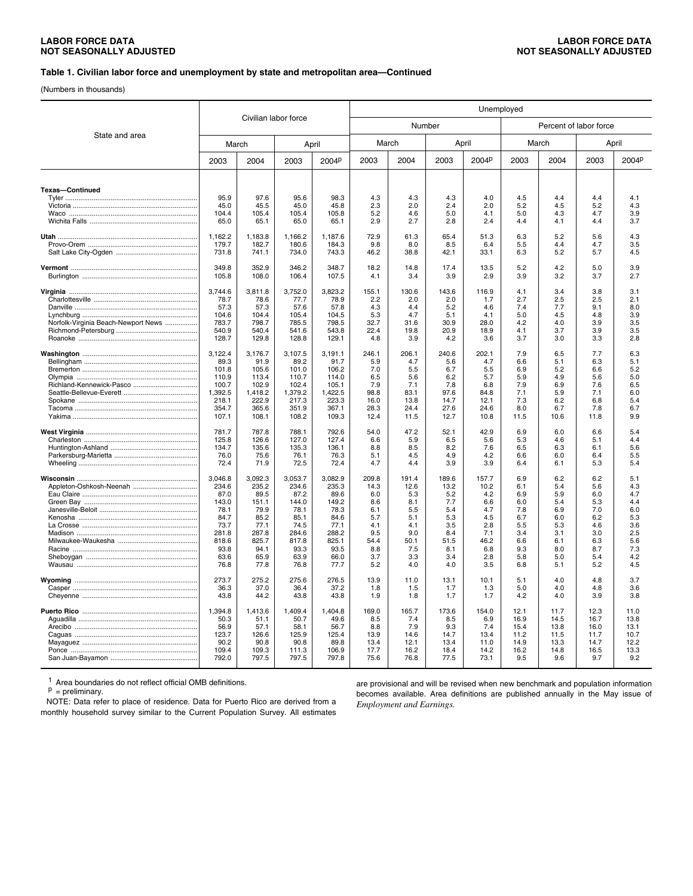#### **Table 1. Civilian labor force and unemployment by state and metropolitan area—Continued**

(Numbers in thousands)

|                                     |                |                |                      |                | Unemployed   |              |              |              |              |                        |              |              |
|-------------------------------------|----------------|----------------|----------------------|----------------|--------------|--------------|--------------|--------------|--------------|------------------------|--------------|--------------|
|                                     |                |                | Civilian labor force |                |              | Number       |              |              |              | Percent of labor force |              |              |
| State and area                      | March          |                |                      | April          | March        |              |              | April        |              | March                  |              | April        |
|                                     | 2003           | 2004           | 2003                 | 2004P          | 2003         | 2004         | 2003         | 2004P        | 2003         | 2004                   | 2003         | 2004P        |
| <b>Texas-Continued</b>              |                |                |                      |                |              |              |              |              |              |                        |              |              |
|                                     | 95.9           | 97.6           | 95.6                 | 98.3           | 4.3          | 4.3          | 4.3          | 4.0          | 4.5          | 4.4                    | 4.4          | 4.1          |
|                                     | 45.0           | 45.5           | 45.0                 | 45.8           | 2.3          | 2.0          | 2.4          | 2.0          | 5.2          | 4.5                    | 5.2          | 4.3          |
|                                     | 104.4          | 105.4          | 105.4                | 105.8          | 5.2          | 4.6          | 5.0          | 4.1          | 5.0          | 4.3                    | 4.7          | 3.9          |
|                                     | 65.0           | 65.1           | 65.0                 | 65.1           | 2.9          | 2.7          | 2.8          | 2.4          | 4.4          | 4.1                    | 4.4          | 3.7          |
|                                     | 1,162.2        | 1,183.8        | 1,166.2              | 1,187.6        | 72.9         | 61.3         | 65.4         | 51.3         | 6.3          | 5.2                    | 5.6          | 4.3          |
|                                     | 179.7          | 182.7          | 180.6                | 184.3          | 9.8          | 8.0          | 8.5          | 6.4          | 5.5          | 4.4                    | 4.7          | 3.5          |
|                                     | 731.8          | 741.1          | 734.0                | 743.3          | 46.2         | 38.8         | 42.1         | 33.1         | 6.3          | 5.2                    | 5.7          | 4.5          |
|                                     | 349.8<br>105.8 | 352.9<br>108.0 | 346.2<br>106.4       | 348.7<br>107.5 | 18.2<br>4.1  | 14.8<br>3.4  | 17.4<br>3.9  | 13.5<br>2.9  | 5.2<br>3.9   | 4.2<br>3.2             | 5.0<br>3.7   | 3.9<br>2.7   |
|                                     | 3,744.6        | 3,811.8        | 3,752.0              | 3.823.2        | 155.1        | 130.6        | 143.6        | 116.9        | 4.1          | 3.4                    | 3.8          | 3.1          |
|                                     | 78.7           | 78.6           | 77.7                 | 78.9           | 2.2          | 2.0          | 2.0          | 1.7          | 2.7          | 2.5                    | 2.5          | 2.1          |
|                                     | 57.3           | 57.3           | 57.6                 | 57.8           | 4.3          | 4.4          | 5.2          | 4.6          | 7.4          | 7.7                    | 9.1          | 8.0          |
|                                     | 104.6          | 104.4          | 105.4                | 104.5          | 5.3          | 4.7          | 5.1          | 4.1          | 5.0          | 4.5                    | 4.8          | 3.9          |
| Norfolk-Virginia Beach-Newport News | 783.7          | 798.7          | 785.5                | 798.5          | 32.7         | 31.6         | 30.9         | 28.0         | 4.2          | 4.0                    | 3.9          | 3.5          |
|                                     | 540.9<br>128.7 | 540.4<br>129.8 | 541.6<br>128.8       | 543.8<br>129.1 | 22.4<br>4.8  | 19.8<br>3.9  | 20.9<br>4.2  | 18.9<br>3.6  | 4.1<br>3.7   | 3.7<br>3.0             | 3.9<br>3.3   | 3.5<br>2.8   |
|                                     | 3.122.4        | 3,176.7        | 3,107.5              | 3,191.1        | 246.1        | 206.1        | 240.6        | 202.1        | 7.9          | 6.5                    | 7.7          | 6.3          |
|                                     | 89.3           | 91.9           | 89.2                 | 91.7           | 5.9          | 4.7          | 5.6          | 4.7          | 6.6          | 5.1                    | 6.3          | 5.1          |
|                                     | 101.8<br>110.9 | 105.6<br>113.4 | 101.0<br>110.7       | 106.2<br>114.0 | 7.0<br>6.5   | 5.5<br>5.6   | 6.7<br>6.2   | 5.5<br>5.7   | 6.9<br>5.9   | 5.2<br>4.9             | 6.6<br>5.6   | 5.2<br>5.0   |
| Richland-Kennewick-Pasco            | 100.7          | 102.9          | 102.4                | 105.1          | 7.9          | 7.1          | 7.8          | 6.8          | 7.9          | 6.9                    | 7.6          | 6.5          |
|                                     | 1,392.5        | 1,418.2        | 1,379.2              | 1,422.5        | 98.8         | 83.1         | 97.6         | 84.8         | 7.1          | 5.9                    | 7.1          | 6.0          |
|                                     | 218.1          | 222.9          | 217.3                | 223.3          | 16.0         | 13.8         | 14.7         | 12.1         | 7.3          | 6.2                    | 6.8          | 5.4          |
|                                     | 354.7          | 365.6          | 351.9                | 367.1          | 28.3         | 24.4         | 27.6         | 24.6         | 8.0          | 6.7                    | 7.8          | 6.7          |
|                                     | 107.1          | 108.1          | 108.2                | 109.3          | 12.4         | 11.5         | 12.7         | 10.8         | 11.5         | 10.6                   | 11.8         | 9.9          |
|                                     | 781.7          | 787.8          | 788.1                | 792.6          | 54.0         | 47.2         | 52.1         | 42.9         | 6.9          | 6.0                    | 6.6          | 5.4          |
|                                     | 125.8          | 126.6          | 127.0                | 127.4          | 6.6          | 5.9          | 6.5          | 5.6          | 5.3          | 4.6                    | 5.1          | 4.4          |
|                                     | 134.7<br>76.0  | 135.6<br>75.6  | 135.3<br>76.1        | 136.1<br>76.3  | 8.8<br>5.1   | 8.5<br>4.5   | 8.2<br>4.9   | 7.6<br>4.2   | 6.5<br>6.6   | 6.3<br>6.0             | 6.1<br>6.4   | 5.6<br>5.5   |
|                                     | 72.4           | 71.9           | 72.5                 | 72.4           | 4.7          | 4.4          | 3.9          | 3.9          | 6.4          | 6.1                    | 5.3          | 5.4          |
|                                     | 3,046.8        | 3,092.3        | 3.053.7              | 3,082.9        | 209.8        | 191.4        | 189.6        | 157.7        | 6.9          | 6.2                    | 6.2          | 5.1          |
| Appleton-Oshkosh-Neenah             | 234.6          | 235.2          | 234.6                | 235.3          | 14.3         | 12.6         | 13.2         | 10.2         | 6.1          | 5.4                    | 5.6          | 4.3          |
|                                     | 87.0           | 89.5           | 87.2                 | 89.6           | 6.0          | 5.3          | 5.2          | 4.2          | 6.9          | 5.9                    | 6.0          | 4.7          |
|                                     | 143.0          | 151.1          | 144.0                | 149.2          | 8.6          | 8.1          | 7.7          | 6.6          | 6.0          | 5.4                    | 5.3          | 4.4          |
|                                     | 78.1<br>84.7   | 79.9<br>85.2   | 78.1<br>85.1         | 78.3<br>84.6   | 6.1<br>5.7   | 5.5<br>5.1   | 5.4<br>5.3   | 4.7<br>4.5   | 7.8<br>6.7   | 6.9<br>6.0             | 7.0<br>6.2   | 6.0<br>5.3   |
|                                     | 73.7           | 77.1           | 74.5                 | 77.1           | 4.1          | 4.1          | 3.5          | 2.8          | 5.5          | 5.3                    | 4.6          | 3.6          |
|                                     | 281.8          | 287.8          | 284.6                | 288.2          | 9.5          | 9.0          | 8.4          | 7.1          | 3.4          | 3.1                    | 3.0          | 2.5          |
|                                     | 818.6          | 825.7          | 817.8                | 825.1          | 54.4         | 50.1         | 51.5         | 46.2         | 6.6          | 6.1                    | 6.3          | 5.6          |
|                                     | 93.8           | 94.1           | 93.3                 | 93.5           | 8.8          | 7.5          | 8.1          | 6.8          | 9.3          | 8.0                    | 8.7          | 7.3          |
|                                     | 63.6           | 65.9           | 63.9                 | 66.0           | 3.7          | 3.3          | 3.4          | 2.8          | 5.8          | 5.0                    | 5.4          | 4.2          |
|                                     | 76.8           | 77.8           | 76.8                 | 77.7           | 5.2          | 4.0          | 4.0          | 3.5          | 6.8          | 5.1                    | 5.2          | 4.5          |
|                                     | 273.7<br>36.3  | 275.2<br>37.0  | 275.6<br>36.4        | 276.5<br>37.2  | 13.9<br>1.8  | 11.0         | 13.1<br>1.7  | 10.1         | 5.1<br>5.0   | 4.0<br>4.0             | 4.8<br>4.8   | 3.7<br>3.6   |
|                                     | 43.8           | 44.2           | 43.8                 | 43.8           | 1.9          | 1.5<br>1.8   | 1.7          | 1.3<br>1.7   | 4.2          | 4.0                    | 3.9          | 3.8          |
|                                     | 1,394.8        | 1,413.6        | 1,409.4              | 1,404.8        | 169.0        | 165.7        | 173.6        | 154.0        | 12.1         | 11.7                   | 12.3         | 11.0         |
|                                     | 50.3           | 51.1           | 50.7                 | 49.6           | 8.5          | 7.4          | 8.5          | 6.9          | 16.9         | 14.5                   | 16.7         | 13.8         |
|                                     | 56.9           | 57.1           | 58.1                 | 56.7           | 8.8          | 7.9          | 9.3          | 7.4          | 15.4         | 13.8                   | 16.0         | 13.1         |
|                                     | 123.7          | 126.6          | 125.9                | 125.4          | 13.9         | 14.6         | 14.7         | 13.4         | 11.2         | 11.5                   | 11.7         | 10.7         |
|                                     | 90.2<br>109.4  | 90.8<br>109.3  | 90.8<br>111.3        | 89.8<br>106.9  | 13.4<br>17.7 | 12.1<br>16.2 | 13.4<br>18.4 | 11.0<br>14.2 | 14.9<br>16.2 | 13.3<br>14.8           | 14.7<br>16.5 | 12.2<br>13.3 |
|                                     | 792.0          | 797.5          | 797.5                | 797.8          | 75.6         | 76.8         | 77.5         | 73.1         | 9.5          | 9.6                    | 9.7          | 9.2          |
|                                     |                |                |                      |                |              |              |              |              |              |                        |              |              |

<sup>1</sup> Area boundaries do not reflect official OMB definitions.<br>
<sup>p</sup> = preliminary.

 NOTE: Data refer to place of residence. Data for Puerto Rico are derived from a monthly household survey similar to the Current Population Survey. All estimates are provisional and will be revised when new benchmark and population information becomes available. Area definitions are published annually in the May issue of *Employment and Earnings.*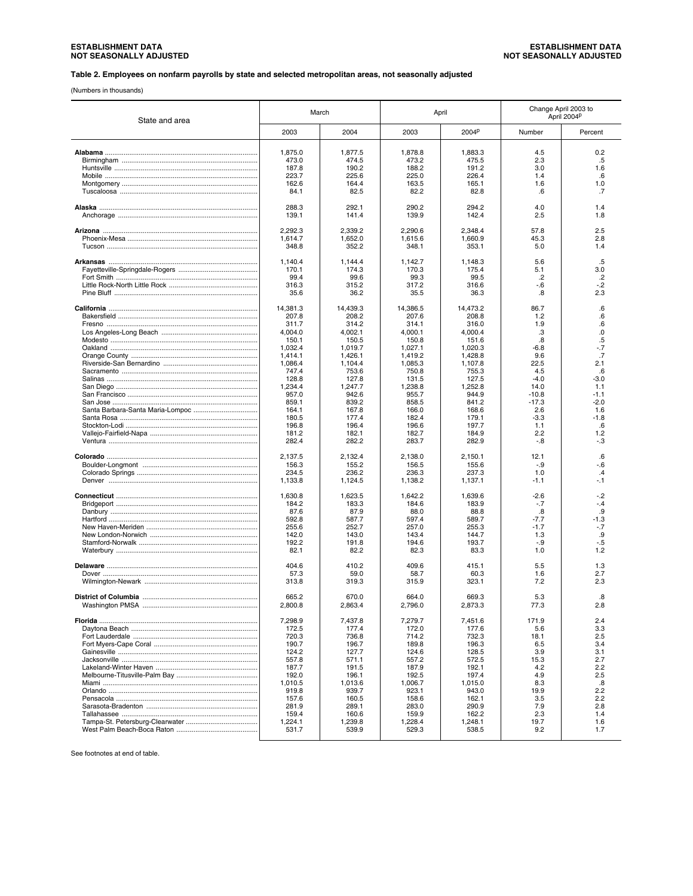#### **Table 2. Employees on nonfarm payrolls by state and selected metropolitan areas, not seasonally adjusted**

(Numbers in thousands)

| State and area | March    |          | April    |          |         | Change April 2003 to<br>April 2004P |
|----------------|----------|----------|----------|----------|---------|-------------------------------------|
|                | 2003     | 2004     | 2003     | 2004P    | Number  | Percent                             |
|                | 1,875.0  | 1,877.5  | 1,878.8  | 1,883.3  | 4.5     | 0.2                                 |
|                | 473.0    | 474.5    | 473.2    | 475.5    | 2.3     | .5                                  |
|                | 187.8    | 190.2    | 188.2    | 191.2    | 3.0     | 1.6                                 |
|                | 223.7    | 225.6    | 225.0    | 226.4    | 1.4     | .6                                  |
|                | 162.6    | 164.4    | 163.5    | 165.1    | 1.6     | 1.0                                 |
|                | 84.1     | 82.5     | 82.2     | 82.8     | .6      | .7                                  |
|                | 288.3    | 292.1    | 290.2    | 294.2    | 4.0     | 1.4                                 |
|                | 139.1    | 141.4    | 139.9    | 142.4    | 2.5     | 1.8                                 |
|                | 2.292.3  | 2.339.2  | 2,290.6  | 2,348.4  | 57.8    | 2.5                                 |
|                | 1,614.7  | 1,652.0  | 1,615.6  | 1,660.9  | 45.3    | 2.8                                 |
|                | 348.8    | 352.2    | 348.1    | 353.1    | 5.0     | 1.4                                 |
|                | 1,140.4  | 1,144.4  | 1,142.7  | 1,148.3  | 5.6     | .5                                  |
|                | 170.1    | 174.3    | 170.3    | 175.4    | 5.1     | 3.0                                 |
|                | 99.4     | 99.6     | 99.3     | 99.5     | .2      | .2                                  |
|                | 316.3    | 315.2    | 317.2    | 316.6    | $-6$    | $-.2$                               |
|                | 35.6     | 36.2     | 35.5     | 36.3     | .8      | 2.3                                 |
|                | 14,381.3 | 14,439.3 | 14,386.5 | 14,473.2 | 86.7    | .6                                  |
|                | 207.8    | 208.2    | 207.6    | 208.8    | 1.2     | .6                                  |
|                | 311.7    | 314.2    | 314.1    | 316.0    | 1.9     | .6                                  |
|                | 4,004.0  | 4,002.1  | 4,000.1  | 4,000.4  | .3      | .0                                  |
|                | 150.1    | 150.5    | 150.8    | 151.6    | .8      | .5                                  |
|                | 1,032.4  | 1,019.7  | 1,027.1  | 1,020.3  | $-6.8$  | -.7                                 |
|                | 1,414.1  | 1,426.1  | 1,419.2  | 1,428.8  | 9.6     | .7                                  |
|                | 1.086.4  | 1,104.4  | 1.085.3  | 1,107.8  | 22.5    | 2.1                                 |
|                | 747.4    | 753.6    | 750.8    | 755.3    | 4.5     | .6                                  |
|                | 128.8    | 127.8    | 131.5    | 127.5    | $-4.0$  | $-3.0$                              |
|                | 1,234.4  | 1,247.7  | 1,238.8  | 1,252.8  | 14.0    | 1.1                                 |
|                | 957.0    | 942.6    | 955.7    | 944.9    | $-10.8$ | $-1.1$                              |
|                | 859.1    | 839.2    | 858.5    | 841.2    | $-17.3$ | $-2.0$                              |
|                | 164.1    | 167.8    | 166.0    | 168.6    | 2.6     | 1.6                                 |
|                | 180.5    | 177.4    | 182.4    | 179.1    | $-3.3$  | $-1.8$                              |
|                | 196.8    | 196.4    | 196.6    | 197.7    | 1.1     | .6                                  |
|                | 181.2    | 182.1    | 182.7    | 184.9    | 2.2     | 1.2                                 |
|                | 282.4    | 282.2    | 283.7    | 282.9    | -.8     | -.3                                 |
|                | 2,137.5  | 2.132.4  | 2,138.0  | 2,150.1  | 12.1    | .6                                  |
|                | 156.3    | 155.2    | 156.5    | 155.6    | $-.9$   | $-6$                                |
|                | 234.5    | 236.2    | 236.3    | 237.3    | 1.0     | $\cdot$                             |
|                | 1,133.8  | 1,124.5  | 1,138.2  | 1,137.1  | $-1.1$  | -.1                                 |
|                | 1,630.8  | 1,623.5  | 1,642.2  | 1,639.6  | $-2.6$  | $-2$                                |
|                | 184.2    | 183.3    | 184.6    | 183.9    | $-.7$   | -.4                                 |
|                | 87.6     | 87.9     | 88.0     | 88.8     | .8      | .9                                  |
|                | 592.8    | 587.7    | 597.4    | 589.7    | $-7.7$  | $-1.3$                              |
|                | 255.6    | 252.7    | 257.0    | 255.3    | $-1.7$  | $-.7$                               |
|                | 142.0    | 143.0    | 143.4    | 144.7    | 1.3     | .9                                  |
|                | 192.2    | 191.8    | 194.6    | 193.7    | $-.9$   | -.5                                 |
|                | 82.1     | 82.2     | 82.3     | 83.3     | 1.0     | 1.2                                 |
|                | 404.6    | 410.2    | 409.6    | 415.1    | 5.5     | 1.3                                 |
|                | 57.3     | 59.0     | 58.7     | 60.3     | 1.6     | 2.7                                 |
|                | 313.8    | 319.3    | 315.9    | 323.1    | 7.2     | 2.3                                 |
|                | 665.2    | 670.0    | 664.0    | 669.3    | 5.3     | .8                                  |
|                | 2.800.8  | 2,863.4  | 2,796.0  | 2,873.3  | 77.3    | 2.8                                 |
|                | 7.298.9  | 7,437.8  | 7,279.7  | 7.451.6  | 171.9   | 2.4                                 |
|                | 172.5    | 177.4    | 172.0    | 177.6    | 5.6     | 3.3                                 |
|                | 720.3    | 736.8    | 714.2    | 732.3    | 18.1    | 2.5                                 |
|                | 190.7    | 196.7    | 189.8    | 196.3    | 6.5     | 3.4                                 |
|                | 124.2    | 127.7    | 124.6    | 128.5    | 3.9     | 3.1                                 |
|                | 557.8    | 571.1    | 557.2    | 572.5    | 15.3    | 2.7                                 |
|                | 187.7    | 191.5    | 187.9    | 192.1    | 4.2     | 2.2                                 |
|                | 192.0    | 196.1    | 192.5    | 197.4    | 4.9     | 2.5                                 |
|                | 1,010.5  | 1,013.6  | 1,006.7  | 1,015.0  | 8.3     | .8                                  |
|                | 919.8    | 939.7    | 923.1    | 943.0    | 19.9    | 2.2                                 |
|                | 157.6    | 160.5    | 158.6    | 162.1    | 3.5     | 2.2                                 |
|                | 281.9    | 289.1    | 283.0    | 290.9    | 7.9     | 2.8                                 |
|                | 159.4    | 160.6    | 159.9    | 162.2    | 2.3     | 1.4                                 |
|                | 1,224.1  | 1,239.8  | 1,228.4  | 1,248.1  | 19.7    | 1.6                                 |
|                | 531.7    | 539.9    | 529.3    | 538.5    | 9.2     | 1.7                                 |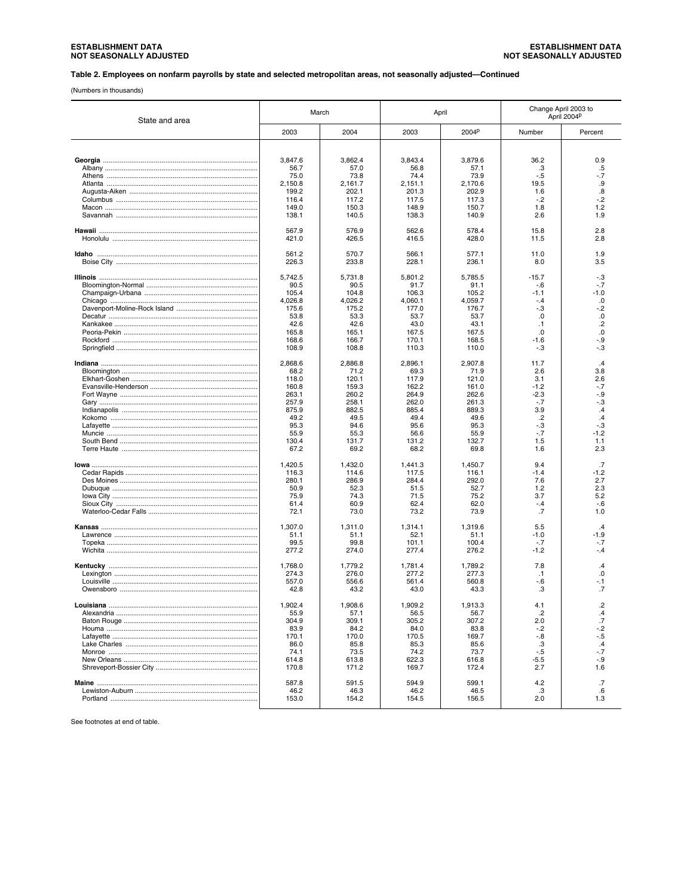# ESTABLISHMENT DATA<br>NOT SEASONALLY ADJUSTED

#### Table 2. Employees on nonfarm payrolls by state and selected metropolitan areas, not seasonally adjusted-Continued

(Numbers in thousands)

| State and area                             |                 | March           | April           |                 | Change April 2003 to  | April 2004P       |
|--------------------------------------------|-----------------|-----------------|-----------------|-----------------|-----------------------|-------------------|
|                                            | 2003            | 2004            | 2003            | 2004P           | Number                | Percent           |
|                                            |                 |                 |                 |                 |                       |                   |
|                                            | 3,847.6         | 3,862.4         | 3,843.4         | 3,879.6         | 36.2                  | 0.9               |
|                                            | 56.7            | 57.0            | 56.8            | 57.1            | .3                    | .5                |
|                                            | 75.0            | 73.8            | 74.4            | 73.9            | $-.5$                 | -.7               |
|                                            | 2,150.8         | 2.161.7         | 2,151.1         | 2.170.6         | 19.5                  | .9                |
|                                            | 199.2           | 202.1           | 201.3           | 202.9           | 1.6                   | $\boldsymbol{.8}$ |
|                                            | 116.4           | 117.2           | 117.5           | 117.3           | $-.2$                 | -.2               |
|                                            | 149.0           | 150.3           | 148.9           | 150.7           | 1.8                   | 1.2               |
|                                            | 138.1           | 140.5           | 138.3           | 140.9           | 2.6                   | 1.9               |
|                                            | 567.9<br>421.0  | 576.9<br>426.5  | 562.6<br>416.5  | 578.4<br>428.0  | 15.8<br>11.5          | 2.8<br>2.8        |
|                                            |                 |                 |                 |                 |                       |                   |
|                                            | 561.2<br>226.3  | 570.7<br>233.8  | 566.1<br>228.1  | 577.1<br>236.1  | 11.0<br>8.0           | 1.9<br>3.5        |
|                                            |                 |                 |                 |                 |                       |                   |
| <u>Illinois ……………………………………………………………………</u> | 5,742.5         | 5,731.8         | 5.801.2         | 5.785.5         | $-15.7$               | -.3               |
|                                            | 90.5            | 90.5            | 91.7            | 91.1            | $-6$                  | $-.7$             |
|                                            | 105.4           | 104.8           | 106.3           | 105.2           | $-1.1$                | $-1.0$            |
|                                            | 4,026.8         | 4,026.2         | 4,060.1         | 4,059.7         | $-.4$                 | .0                |
|                                            | 175.6           | 175.2           | 177.0           | 176.7           | $-.3$                 | -.2               |
|                                            | 53.8            | 53.3            | 53.7            | 53.7            | .0                    | .0                |
|                                            | 42.6            | 42.6            | 43.0            | 43.1            | $\cdot$ 1<br>$\Omega$ | $\cdot$           |
|                                            | 165.8           | 165.1           | 167.5           | 167.5           |                       | .0                |
|                                            | 168.6<br>108.9  | 166.7<br>108.8  | 170.1<br>110.3  | 168.5<br>110.0  | $-1.6$<br>$-3$        | -.9<br>-.3        |
|                                            |                 |                 |                 |                 |                       |                   |
|                                            | 2,868.6<br>68.2 | 2.886.8<br>71.2 | 2,896.1<br>69.3 | 2,907.8<br>71.9 | 11.7<br>2.6           | $\cdot$<br>3.8    |
|                                            | 118.0           | 120.1           | 117.9           | 121.0           | 3.1                   | 2.6               |
|                                            | 160.8           | 159.3           | 162.2           | 161.0           | $-1.2$                | -.7               |
|                                            | 263.1           | 260.2           | 264.9           | 262.6           | $-2.3$                | -.9               |
|                                            | 257.9           | 258.1           | 262.0           | 261.3           | $-.7$                 | -.3               |
|                                            | 875.9           | 882.5           | 885.4           | 889.3           | 3.9                   | $\mathcal{A}$     |
|                                            | 49.2            | 49.5            | 49.4            | 49.6            | $.2\phantom{0}$       | .4                |
|                                            | 95.3            | 94.6            | 95.6            | 95.3            | $-.3$                 | -.3               |
|                                            | 55.9            | 55.3            | 56.6            | 55.9            | $-7$                  | $-1.2$            |
|                                            | 130.4           | 131.7           | 131.2           | 132.7           | 1.5                   | 1.1               |
|                                            | 67.2            | 69.2            | 68.2            | 69.8            | 1.6                   | 2.3               |
|                                            | 1,420.5         | 1,432.0         | 1,441.3         | 1,450.7         | 9.4                   | .7                |
|                                            | 116.3           | 114.6           | 117.5           | 116.1           | $-1.4$                | $-1.2$            |
|                                            | 280.1           | 286.9           | 284.4           | 292.0           | 7.6                   | 2.7               |
|                                            | 50.9            | 52.3            | 51.5            | 52.7            | 1.2                   | 2.3               |
|                                            | 75.9            | 74.3            | 71.5            | 75.2            | 3.7                   | 5.2               |
|                                            | 61.4            | 60.9            | 62.4            | 62.0            | $-.4$                 | $-6$              |
|                                            | 72.1            | 73.0            | 73.2            | 73.9            | .7                    | 1.0               |
|                                            | 1,307.0         | 1,311.0         | 1.314.1         | 1,319.6         | 5.5                   | $\overline{4}$    |
|                                            | 51.1            | 51.1            | 52.1            | 51.1            | $-1.0$                | $-1.9$            |
|                                            | 99.5            | 99.8            | 101.1           | 100.4           | $-.7$                 | -.7               |
|                                            | 277.2           | 274.0           | 277.4           | 276.2           | $-1.2$                | -.4               |
|                                            | 1,768.0         | 1,779.2         | 1,781.4         | 1,789.2         | 7.8                   | .4                |
|                                            | 274.3           | 276.0           | 277.2           | 277.3           | $\cdot$ 1             | .0                |
|                                            | 557.0           | 556.6           | 561.4           | 560.8           | $-6$                  | -.1               |
|                                            | 42.8            | 43.2            | 43.0            | 43.3            | .3                    | .7                |
|                                            | 1,902.4         | 1,908.6         | 1,909.2         | 1,913.3         | 4.1                   | .2                |
|                                            | 55.9            | 57.1            | 56.5            | 56.7            | $\cdot$               | .4                |
|                                            | 304.9           | 309.1           | 305.2           | 307.2           | 2.0                   | $\cdot$ 7         |
|                                            | 83.9            | 84.2            | 84.0            | 83.8            | $-2$                  | $-2$              |
|                                            | 170.1           | 170.0           | 170.5           | 169.7           | $-0.8$                | -.5               |
|                                            | 86.0            | 85.8            | 85.3            | 85.6            | .3                    | $\mathcal{A}$     |
|                                            | 74.1            | 73.5            | 74.2            | 73.7            | $-5$                  | $-7$              |
|                                            | 614.8           | 613.8           | 622.3           | 616.8           | $-5.5$                | $-9$              |
|                                            | 170.8           | 171.2           | 169.7           | 172.4           | 2.7                   | 1.6               |
|                                            | 587.8           | 591.5           | 594.9           | 599.1           | 4.2                   | $\cdot$ 7         |
|                                            | 46.2            | 46.3            | 46.2            | 46.5            | .3                    | .6                |
|                                            | 153.0           | 154.2           | 154.5           | 156.5           | 2.0                   | 1.3               |
|                                            |                 |                 |                 |                 |                       |                   |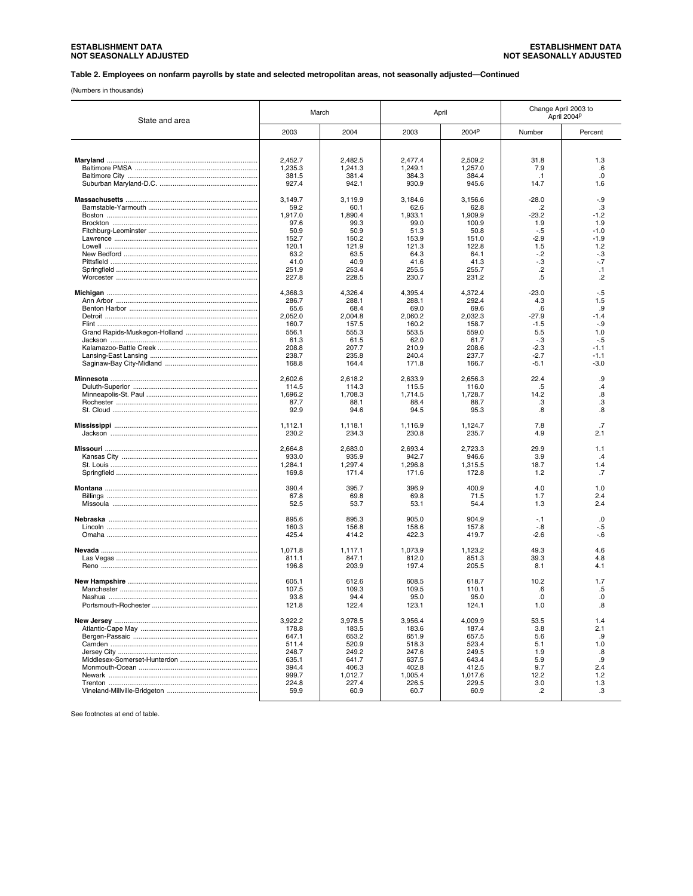#### **Table 2. Employees on nonfarm payrolls by state and selected metropolitan areas, not seasonally adjusted—Continued**

(Numbers in thousands)

| State and area | March   |         | April   |         |           | Change April 2003 to<br>April 2004P |
|----------------|---------|---------|---------|---------|-----------|-------------------------------------|
|                | 2003    | 2004    | 2003    | 2004P   | Number    | Percent                             |
|                | 2,452.7 | 2,482.5 | 2,477.4 | 2,509.2 | 31.8      | 1.3                                 |
|                | 1,235.3 | 1,241.3 | 1,249.1 | 1,257.0 | 7.9       | .6                                  |
|                | 381.5   | 381.4   | 384.3   | 384.4   | $\cdot$ 1 | .0                                  |
|                | 927.4   | 942.1   | 930.9   | 945.6   | 14.7      | 1.6                                 |
|                | 3,149.7 | 3,119.9 | 3,184.6 | 3,156.6 | $-28.0$   | $-9$                                |
|                | 59.2    | 60.1    | 62.6    | 62.8    | .2        | .3                                  |
|                | 1,917.0 | 1,890.4 | 1,933.1 | 1,909.9 | $-23.2$   | $-1.2$                              |
|                | 97.6    | 99.3    | 99.0    | 100.9   | 1.9       | 1.9                                 |
|                | 50.9    | 50.9    | 51.3    | 50.8    | $-.5$     | $-1.0$                              |
|                | 152.7   | 150.2   | 153.9   | 151.0   | $-2.9$    | $-1.9$                              |
|                | 120.1   | 121.9   | 121.3   | 122.8   | 1.5       | 1.2                                 |
|                | 63.2    | 63.5    | 64.3    | 64.1    | $-2$      | -.3                                 |
|                | 41.0    | 40.9    | 41.6    | 41.3    | $-3$      | $-7$                                |
|                | 251.9   | 253.4   | 255.5   | 255.7   | .2        | $\cdot$ 1                           |
|                | 227.8   | 228.5   | 230.7   | 231.2   | .5        | .2                                  |
|                | 4,368.3 | 4,326.4 | 4,395.4 | 4,372.4 | $-23.0$   | $-5$                                |
|                | 286.7   | 288.1   | 288.1   | 292.4   | 4.3       | 1.5                                 |
|                | 65.6    | 68.4    | 69.0    | 69.6    | .6        | .9                                  |
|                | 2,052.0 | 2,004.8 | 2.060.2 | 2,032.3 | $-27.9$   | $-1.4$                              |
|                | 160.7   | 157.5   | 160.2   | 158.7   | $-1.5$    | $-.9$                               |
|                | 556.1   | 555.3   | 553.5   | 559.0   | 5.5       | 1.0                                 |
|                | 61.3    | 61.5    | 62.0    | 61.7    | -.3       | -.5                                 |
|                | 208.8   | 207.7   | 210.9   | 208.6   | $-2.3$    | $-1.1$                              |
|                | 238.7   | 235.8   | 240.4   | 237.7   | $-2.7$    | $-1.1$                              |
|                | 168.8   | 164.4   | 171.8   | 166.7   | $-5.1$    | $-3.0$                              |
|                | 2.602.6 | 2,618.2 | 2.633.9 | 2,656.3 | 22.4      | .9                                  |
|                | 114.5   | 114.3   | 115.5   | 116.0   | .5        | .4                                  |
|                | 1,696.2 | 1,708.3 | 1,714.5 | 1,728.7 | 14.2      | .8                                  |
|                | 87.7    | 88.1    | 88.4    | 88.7    | .3        | .3                                  |
|                | 92.9    | 94.6    | 94.5    | 95.3    | .8        | 8.                                  |
|                | 1,112.1 | 1,118.1 | 1,116.9 | 1,124.7 | 7.8       | .7                                  |
|                | 230.2   | 234.3   | 230.8   | 235.7   | 4.9       | 2.1                                 |
|                | 2,664.8 | 2,683.0 | 2,693.4 | 2,723.3 | 29.9      | 1.1                                 |
|                | 933.0   | 935.9   | 942.7   | 946.6   | 3.9       | $\cdot$                             |
|                | 1,284.1 | 1,297.4 | 1,296.8 | 1,315.5 | 18.7      | 1.4                                 |
|                | 169.8   | 171.4   | 171.6   | 172.8   | 1.2       | .7                                  |
|                | 390.4   | 395.7   | 396.9   | 400.9   | 4.0       | 1.0                                 |
|                | 67.8    | 69.8    | 69.8    | 71.5    | 1.7       | 2.4                                 |
|                | 52.5    | 53.7    | 53.1    | 54.4    | 1.3       | 2.4                                 |
|                | 895.6   | 895.3   | 905.0   | 904.9   | $-1$      | .0                                  |
|                | 160.3   | 156.8   | 158.6   | 157.8   | -.8       | -.5                                 |
|                | 425.4   | 414.2   | 422.3   | 419.7   | -2.6      | $-6$                                |
|                | 1,071.8 | 1,117.1 | 1,073.9 | 1,123.2 | 49.3      | 4.6                                 |
|                | 811.1   | 847.1   | 812.0   | 851.3   | 39.3      | 4.8                                 |
|                | 196.8   | 203.9   | 197.4   | 205.5   | 8.1       | 4.1                                 |
|                | 605.1   | 612.6   | 608.5   | 618.7   | 10.2      | 1.7                                 |
|                | 107.5   | 109.3   | 109.5   | 110.1   | .6        | .5                                  |
|                | 93.8    | 94.4    | 95.0    | 95.0    | .0        | 0.                                  |
|                | 121.8   | 122.4   | 123.1   | 124.1   | 1.0       | .8                                  |
|                | 3,922.2 | 3,978.5 | 3,956.4 | 4,009.9 | 53.5      | 1.4                                 |
|                | 178.8   | 183.5   | 183.6   | 187.4   | 3.8       | 2.1                                 |
|                | 647.1   | 653.2   | 651.9   | 657.5   | 5.6       | .9                                  |
|                | 511.4   | 520.9   | 518.3   | 523.4   | 5.1       | 1.0                                 |
|                | 248.7   | 249.2   | 247.6   | 249.5   | 1.9       | .8                                  |
|                | 635.1   | 641.7   | 637.5   | 643.4   | 5.9       | .9                                  |
|                | 394.4   | 406.3   | 402.8   | 412.5   | 9.7       | 2.4                                 |
|                | 999.7   | 1,012.7 | 1,005.4 | 1,017.6 | 12.2      | 1.2                                 |
|                | 224.8   | 227.4   | 226.5   | 229.5   | 3.0       | 1.3                                 |
|                | 59.9    | 60.9    | 60.7    | 60.9    | $\cdot$   | .3                                  |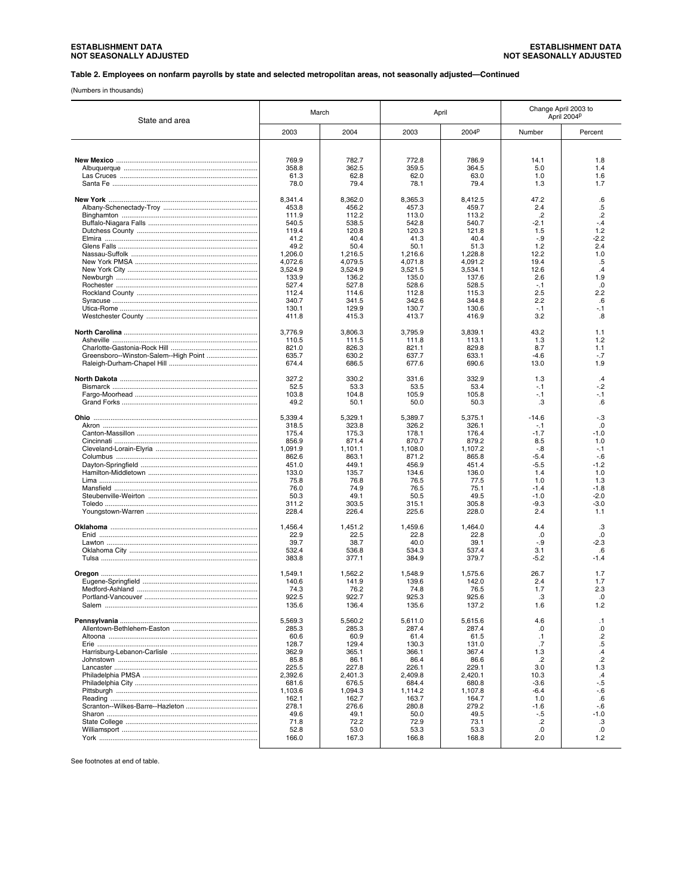#### **Table 2. Employees on nonfarm payrolls by state and selected metropolitan areas, not seasonally adjusted—Continued**

(Numbers in thousands)

| State and area                        |                    | March              |                    | April              | Change April 2003 to | April 2004 <sup>p</sup> |
|---------------------------------------|--------------------|--------------------|--------------------|--------------------|----------------------|-------------------------|
|                                       | 2003               | 2004               | 2003               | 2004P              | Number               | Percent                 |
|                                       |                    |                    |                    |                    |                      |                         |
|                                       |                    |                    |                    |                    |                      |                         |
|                                       | 769.9              | 782.7              | 772.8              | 786.9              | 14.1                 | 1.8                     |
|                                       | 358.8              | 362.5              | 359.5              | 364.5              | 5.0                  | 1.4                     |
|                                       | 61.3<br>78.0       | 62.8<br>79.4       | 62.0<br>78.1       | 63.0<br>79.4       | 1.0<br>1.3           | 1.6<br>1.7              |
|                                       |                    |                    |                    |                    |                      |                         |
|                                       | 8,341.4            | 8,362.0            | 8,365.3            | 8,412.5            | 47.2                 | .6                      |
|                                       | 453.8              | 456.2              | 457.3              | 459.7              | 2.4                  | $.5\,$                  |
|                                       | 111.9              | 112.2              | 113.0              | 113.2              | $\cdot$              | $\overline{2}$          |
|                                       | 540.5              | 538.5              | 542.8              | 540.7              | $-2.1$               | $-.4$                   |
|                                       | 119.4              | 120.8              | 120.3              | 121.8              | 1.5                  | 1.2                     |
|                                       | 41.2               | 40.4               | 41.3               | 40.4               | $-.9$                | $-2.2$                  |
|                                       | 49.2               | 50.4               | 50.1               | 51.3               | 1.2                  | 2.4                     |
|                                       | 1,206.0            | 1,216.5            | 1,216.6<br>4.071.8 | 1,228.8            | 12.2                 | 1.0                     |
|                                       | 4,072.6<br>3,524.9 | 4,079.5<br>3,524.9 | 3,521.5            | 4,091.2<br>3,534.1 | 19.4<br>12.6         | .5<br>.4                |
|                                       | 133.9              | 136.2              | 135.0              | 137.6              | 2.6                  | 1.9                     |
|                                       | 527.4              | 527.8              | 528.6              | 528.5              | $-.1$                | .0                      |
|                                       | 112.4              | 114.6              | 112.8              | 115.3              | 2.5                  | 2.2                     |
|                                       | 340.7              | 341.5              | 342.6              | 344.8              | 2.2                  | .6                      |
|                                       | 130.1              | 129.9              | 130.7              | 130.6              | $-.1$                | -.1                     |
|                                       | 411.8              | 415.3              | 413.7              | 416.9              | 3.2                  | .8                      |
|                                       |                    |                    |                    |                    |                      |                         |
|                                       | 3,776.9            | 3,806.3            | 3,795.9            | 3,839.1            | 43.2                 | 1.1                     |
|                                       | 110.5              | 111.5              | 111.8              | 113.1              | 1.3                  | 1.2                     |
|                                       | 821.0              | 826.3              | 821.1              | 829.8              | 8.7                  | 1.1                     |
| Greensboro--Winston-Salem--High Point | 635.7              | 630.2              | 637.7              | 633.1              | $-4.6$<br>13.0       | $-.7$<br>1.9            |
|                                       | 674.4              | 686.5              | 677.6              | 690.6              |                      |                         |
|                                       | 327.2              | 330.2              | 331.6              | 332.9              | 1.3                  | $\mathcal{A}$           |
|                                       | 52.5               | 53.3               | 53.5               | 53.4               | $-1$                 | $-2$                    |
|                                       | 103.8              | 104.8              | 105.9              | 105.8              | $-.1$                | $-.1$                   |
|                                       | 49.2               | 50.1               | 50.0               | 50.3               | .3                   | .6                      |
|                                       |                    |                    |                    |                    |                      |                         |
|                                       | 5,339.4            | 5,329.1            | 5,389.7            | 5,375.1            | $-14.6$              | $-.3$                   |
|                                       | 318.5              | 323.8              | 326.2              | 326.1              | $-1$                 | .0                      |
|                                       | 175.4              | 175.3              | 178.1              | 176.4              | $-1.7$               | $-1.0$                  |
|                                       | 856.9              | 871.4              | 870.7              | 879.2              | 8.5                  | 1.0                     |
|                                       | 1,091.9<br>862.6   | 1,101.1<br>863.1   | 1,108.0<br>871.2   | 1,107.2<br>865.8   | $-.8$<br>$-5.4$      | $-.1$<br>$-6$           |
|                                       | 451.0              | 449.1              | 456.9              | 451.4              | $-5.5$               | $-1.2$                  |
|                                       | 133.0              | 135.7              | 134.6              | 136.0              | 1.4                  | 1.0                     |
|                                       | 75.8               | 76.8               | 76.5               | 77.5               | 1.0                  | 1.3                     |
|                                       | 76.0               | 74.9               | 76.5               | 75.1               | $-1.4$               | $-1.8$                  |
|                                       | 50.3               | 49.1               | 50.5               | 49.5               | $-1.0$               | $-2.0$                  |
|                                       | 311.2              | 303.5              | 315.1              | 305.8              | $-9.3$               | $-3.0$                  |
|                                       | 228.4              | 226.4              | 225.6              | 228.0              | 2.4                  | 1.1                     |
|                                       |                    |                    |                    |                    |                      |                         |
|                                       | 1,456.4            | 1,451.2            | 1,459.6            | 1,464.0            | 4.4                  | .3                      |
|                                       | 22.9               | 22.5               | 22.8               | 22.8               | .0<br>$-.9$          | .0<br>$-2.3$            |
|                                       | 39.7<br>532.4      | 38.7<br>536.8      | 40.0<br>534.3      | 39.1<br>537.4      | 3.1                  | .6                      |
|                                       | 383.8              | 377.1              | 384.9              | 379.7              | $-5.2$               | $-1.4$                  |
|                                       |                    |                    |                    |                    |                      |                         |
|                                       | 1,549.1            | 1,562.2            | 1,548.9            | 1,575.6            | 26.7                 | 1.7                     |
|                                       | 140.6              | 141.9              | 139.6              | 142.0              | 2.4                  | 1.7                     |
|                                       | 74.3               | 76.2               | 74.8               | 76.5               | 1.7                  | 2.3                     |
|                                       | 922.5              | 922.7              | 925.3              | 925.6              | .3                   | .0                      |
|                                       | 135.6              | 136.4              | 135.6              | 137.2              | 1.6                  | 1.2                     |
|                                       | 5,569.3            | 5.560.2            |                    |                    |                      | .1                      |
|                                       | 285.3              | 285.3              | 5,611.0<br>287.4   | 5,615.6<br>287.4   | 4.6<br>.0            | .0                      |
|                                       | 60.6               | 60.9               | 61.4               | 61.5               | $\cdot$ 1            | $\cdot$                 |
|                                       | 128.7              | 129.4              | 130.3              | 131.0              | .7                   | $.5\,$                  |
|                                       | 362.9              | 365.1              | 366.1              | 367.4              | 1.3                  | $\cdot$ 4               |
|                                       | 85.8               | 86.1               | 86.4               | 86.6               | .2                   | $\overline{2}$          |
|                                       | 225.5              | 227.8              | 226.1              | 229.1              | 3.0                  | 1.3                     |
|                                       | 2,392.6            | 2,401.3            | 2,409.8            | 2,420.1            | 10.3                 | .4                      |
|                                       | 681.6              | 676.5              | 684.4              | 680.8              | $-3.6$               | $-5$                    |
|                                       | 1,103.6            | 1,094.3            | 1.114.2            | 1.107.8            | $-6.4$               | $-6$                    |
|                                       | 162.1              | 162.7              | 163.7              | 164.7              | 1.0                  | .6                      |
|                                       | 278.1              | 276.6              | 280.8              | 279.2              | $-1.6$               | $-6$                    |
|                                       | 49.6<br>71.8       | 49.1<br>72.2       | 50.0<br>72.9       | 49.5<br>73.1       | $-5$<br>$\cdot$      | $-1.0$<br>.3            |
|                                       | 52.8               | 53.0               | 53.3               | 53.3               | .0                   | .0                      |
|                                       | 166.0              | 167.3              | 166.8              | 168.8              | 2.0                  | 1.2                     |
|                                       |                    |                    |                    |                    |                      |                         |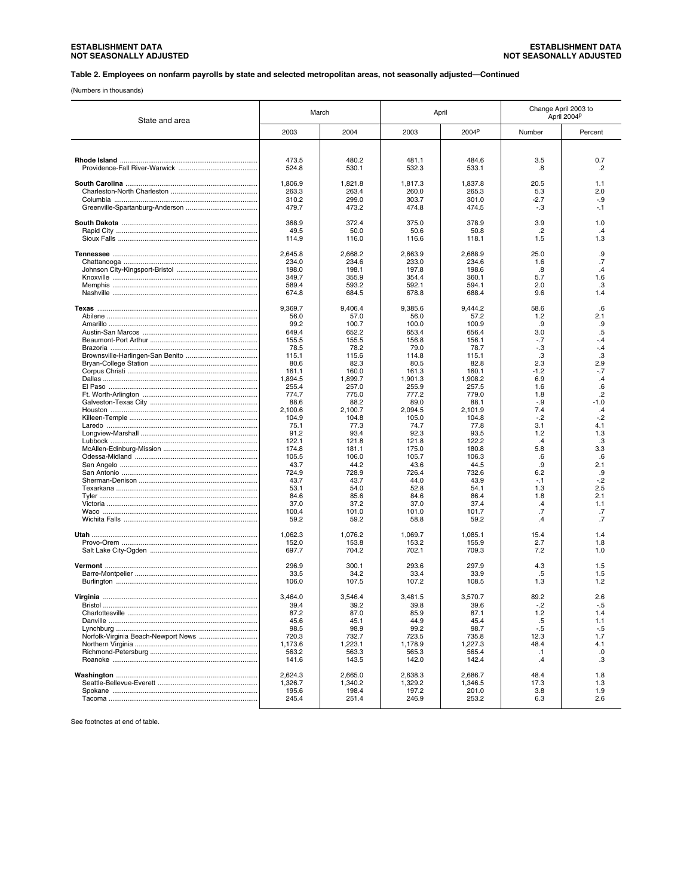#### **Table 2. Employees on nonfarm payrolls by state and selected metropolitan areas, not seasonally adjusted—Continued**

(Numbers in thousands)

| State and area |                 | March           |                 | April           |                 | Change April 2003 to<br>April 2004P |
|----------------|-----------------|-----------------|-----------------|-----------------|-----------------|-------------------------------------|
|                | 2003            | 2004            | 2003            | 2004P           | Number          | Percent                             |
|                |                 |                 |                 |                 |                 |                                     |
|                | 473.5           | 480.2           | 481.1           | 484.6           | 3.5             | 0.7                                 |
|                | 524.8           | 530.1           | 532.3           | 533.1           | .8              | .2                                  |
|                | 1,806.9         | 1,821.8         | 1,817.3         | 1,837.8         | 20.5            | 1.1                                 |
|                | 263.3<br>310.2  | 263.4<br>299.0  | 260.0<br>303.7  | 265.3           | 5.3<br>$-2.7$   | 2.0<br>$-9$                         |
|                | 479.7           | 473.2           | 474.8           | 301.0<br>474.5  | -.3             | $-1$                                |
|                | 368.9           | 372.4           | 375.0           | 378.9           | 3.9             | 1.0                                 |
|                | 49.5            | 50.0            | 50.6            | 50.8            | $.2\phantom{0}$ | .4                                  |
|                | 114.9           | 116.0           | 116.6           | 118.1           | 1.5             | 1.3                                 |
|                | 2,645.8         | 2,668.2         | 2,663.9         | 2,688.9         | 25.0            | .9                                  |
|                | 234.0<br>198.0  | 234.6<br>198.1  | 233.0<br>197.8  | 234.6<br>198.6  | 1.6<br>.8       | .7<br>.4                            |
|                | 349.7           | 355.9           | 354.4           | 360.1           | 5.7             | 1.6                                 |
|                | 589.4           | 593.2           | 592.1           | 594.1           | 2.0             | .3                                  |
|                | 674.8           | 684.5           | 678.8           | 688.4           | 9.6             | 1.4                                 |
|                | 9,369.7         | 9,406.4         | 9,385.6         | 9,444.2         | 58.6            | .6                                  |
|                | 56.0            | 57.0            | 56.0            | 57.2            | 1.2             | 2.1                                 |
|                | 99.2<br>649.4   | 100.7<br>652.2  | 100.0<br>653.4  | 100.9<br>656.4  | .9<br>3.0       | .9<br>.5                            |
|                | 155.5           | 155.5           | 156.8           | 156.1           | $-.7$           | $-.4$                               |
|                | 78.5            | 78.2            | 79.0            | 78.7            | $-.3$           | $-.4$                               |
|                | 115.1           | 115.6           | 114.8           | 115.1           | .3              | .3                                  |
|                | 80.6<br>161.1   | 82.3<br>160.0   | 80.5<br>161.3   | 82.8<br>160.1   | 2.3<br>$-1.2$   | 2.9<br>$-7$                         |
|                | 1,894.5         | 1,899.7         | 1,901.3         | 1,908.2         | 6.9             | $\mathcal{A}$                       |
|                | 255.4           | 257.0           | 255.9           | 257.5           | 1.6             | .6                                  |
|                | 774.7           | 775.0           | 777.2           | 779.0           | 1.8             | $\overline{2}$                      |
|                | 88.6<br>2,100.6 | 88.2<br>2,100.7 | 89.0<br>2,094.5 | 88.1<br>2,101.9 | $-.9$<br>7.4    | $-1.0$<br>$\cdot$                   |
|                | 104.9           | 104.8           | 105.0           | 104.8           | $-.2$           | $-2$                                |
|                | 75.1            | 77.3            | 74.7            | 77.8            | 3.1             | 4.1                                 |
|                | 91.2            | 93.4            | 92.3            | 93.5            | 1.2             | 1.3                                 |
|                | 122.1           | 121.8           | 121.8           | 122.2<br>180.8  | .4<br>5.8       | .3<br>3.3                           |
|                | 174.8<br>105.5  | 181.1<br>106.0  | 175.0<br>105.7  | 106.3           | .6              | .6                                  |
|                | 43.7            | 44.2            | 43.6            | 44.5            | .9              | 2.1                                 |
|                | 724.9           | 728.9           | 726.4           | 732.6           | 6.2             | .9                                  |
|                | 43.7            | 43.7            | 44.0            | 43.9            | $-1$            | -.2<br>2.5                          |
|                | 53.1<br>84.6    | 54.0<br>85.6    | 52.8<br>84.6    | 54.1<br>86.4    | 1.3<br>1.8      | 2.1                                 |
|                | 37.0            | 37.2            | 37.0            | 37.4            | $\cdot$         | 1.1                                 |
|                | 100.4           | 101.0           | 101.0           | 101.7           | .7              | .7                                  |
|                | 59.2            | 59.2            | 58.8            | 59.2            | .4              | .7                                  |
|                | 1,062.3         | 1,076.2         | 1,069.7         | 1,085.1         | 15.4            | 1.4                                 |
|                | 152.0<br>697.7  | 153.8<br>704.2  | 153.2<br>702.1  | 155.9<br>709.3  | 2.7<br>7.2      | 1.8<br>1.0                          |
|                |                 |                 |                 |                 |                 |                                     |
|                | 296.9<br>33.5   | 300.1<br>34.2   | 293.6<br>33.4   | 297.9<br>33.9   | 4.3<br>.5       | 1.5<br>1.5                          |
|                | 106.0           | 107.5           | 107.2           | 108.5           | 1.3             | 1.2                                 |
|                | 3,464.0         | 3,546.4         | 3,481.5         | 3,570.7         | 89.2            | 2.6                                 |
|                | 39.4            | 39.2            | 39.8            | 39.6            | $-2$            | -.5                                 |
|                | 87.2            | 87.0            | 85.9            | 87.1            | $1.2$           | 1.4                                 |
|                | 45.6            | 45.1            | 44.9            | 45.4            | .5              | 1.1                                 |
|                | 98.5<br>720.3   | 98.9<br>732.7   | 99.2<br>723.5   | 98.7<br>735.8   | $-5$<br>12.3    | $-.5$<br>1.7                        |
|                | 1,173.6         | 1,223.1         | 1,178.9         | 1,227.3         | 48.4            | 4.1                                 |
|                | 563.2           | 563.3           | 565.3           | 565.4           | $\cdot$ 1       | .0                                  |
|                | 141.6           | 143.5           | 142.0           | 142.4           | .4              | .3                                  |
|                | 2,624.3         | 2,665.0         | 2,638.3         | 2,686.7         | 48.4            | 1.8                                 |
|                | 1,326.7         | 1,340.2         | 1.329.2         | 1,346.5         | 17.3            | 1.3                                 |
|                | 195.6<br>245.4  | 198.4<br>251.4  | 197.2<br>246.9  | 201.0<br>253.2  | 3.8<br>6.3      | 1.9<br>2.6                          |
|                |                 |                 |                 |                 |                 |                                     |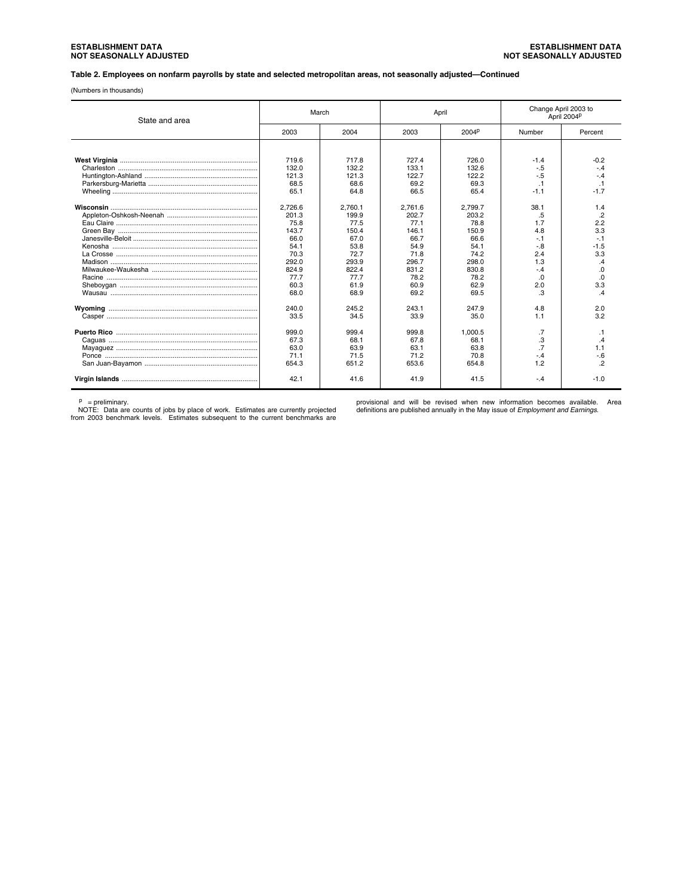#### **Table 2. Employees on nonfarm payrolls by state and selected metropolitan areas, not seasonally adjusted—Continued**

(Numbers in thousands)

| State and area | March   |         |         | April   | Change April 2003 to | April 2004P              |
|----------------|---------|---------|---------|---------|----------------------|--------------------------|
|                | 2003    | 2004    | 2003    | 2004P   | Number               | Percent                  |
|                |         |         |         |         |                      |                          |
|                | 719.6   | 717.8   | 727.4   | 726.0   | $-1.4$               | $-0.2$                   |
|                | 132.0   | 132.2   | 133.1   | 132.6   | $-.5$                | $-4$                     |
|                | 121.3   | 121.3   | 122.7   | 122.2   | $-.5$                | $-.4$                    |
|                | 68.5    | 68.6    | 69.2    | 69.3    |                      | $\overline{1}$           |
|                | 65.1    | 64.8    | 66.5    | 65.4    | $-1.1$               | $-1.7$                   |
|                | 2.726.6 | 2.760.1 | 2.761.6 | 2.799.7 | 38.1                 | 1.4                      |
|                | 201.3   | 199.9   | 202.7   | 203.2   | .5                   | $\cdot$                  |
|                | 75.8    | 77.5    | 77.1    | 78.8    | 1.7                  | 2.2                      |
|                | 143.7   | 150.4   | 146.1   | 150.9   | 4.8                  | 3.3                      |
|                | 66.0    | 67.0    | 66.7    | 66.6    | $-1$                 |                          |
|                | 54.1    | 53.8    | 54.9    | 54.1    | $-8$                 | $-1.5$                   |
|                | 70.3    | 72.7    | 71.8    | 74.2    | 2.4                  | 3.3                      |
|                | 292.0   | 293.9   | 296.7   | 298.0   | 1.3                  | $\overline{\mathcal{A}}$ |
|                | 824.9   | 822.4   | 831.2   | 830.8   | $-4$                 | .0                       |
|                | 77.7    | 77.7    | 78.2    | 78.2    | .0                   | $\Omega$                 |
|                | 60.3    | 61.9    | 60.9    | 62.9    | 2.0                  | 3.3                      |
|                | 68.0    | 68.9    | 69.2    | 69.5    | .3                   | $\overline{A}$           |
|                | 240.0   | 245.2   | 243.1   | 247.9   | 4.8                  | 2.0                      |
|                | 33.5    | 34.5    | 33.9    | 35.0    | 1.1                  | 3.2                      |
|                | 999.0   | 999.4   | 999.8   | 1.000.5 | .7                   | $\cdot$ 1                |
|                | 67.3    | 68.1    | 67.8    | 68.1    | .3                   | $\overline{A}$           |
|                | 63.0    | 63.9    | 63.1    | 63.8    | .7                   | 1.1                      |
|                | 71.1    | 71.5    | 71.2    | 70.8    | $-.4$                | $-6$                     |
|                | 654.3   | 651.2   | 653.6   | 654.8   | 1.2                  | $\overline{2}$           |
|                | 42.1    | 41.6    | 41.9    | 41.5    | $-.4$                | $-1.0$                   |

p = preliminary. NOTE: Data are counts of jobs by place of work. Estimates are currently projected from 2003 benchmark levels. Estimates subsequent to the current benchmarks are

provisional and will be revised when new information becomes available. Area definitions are published annually in the May issue of *Employment and Earnings.*